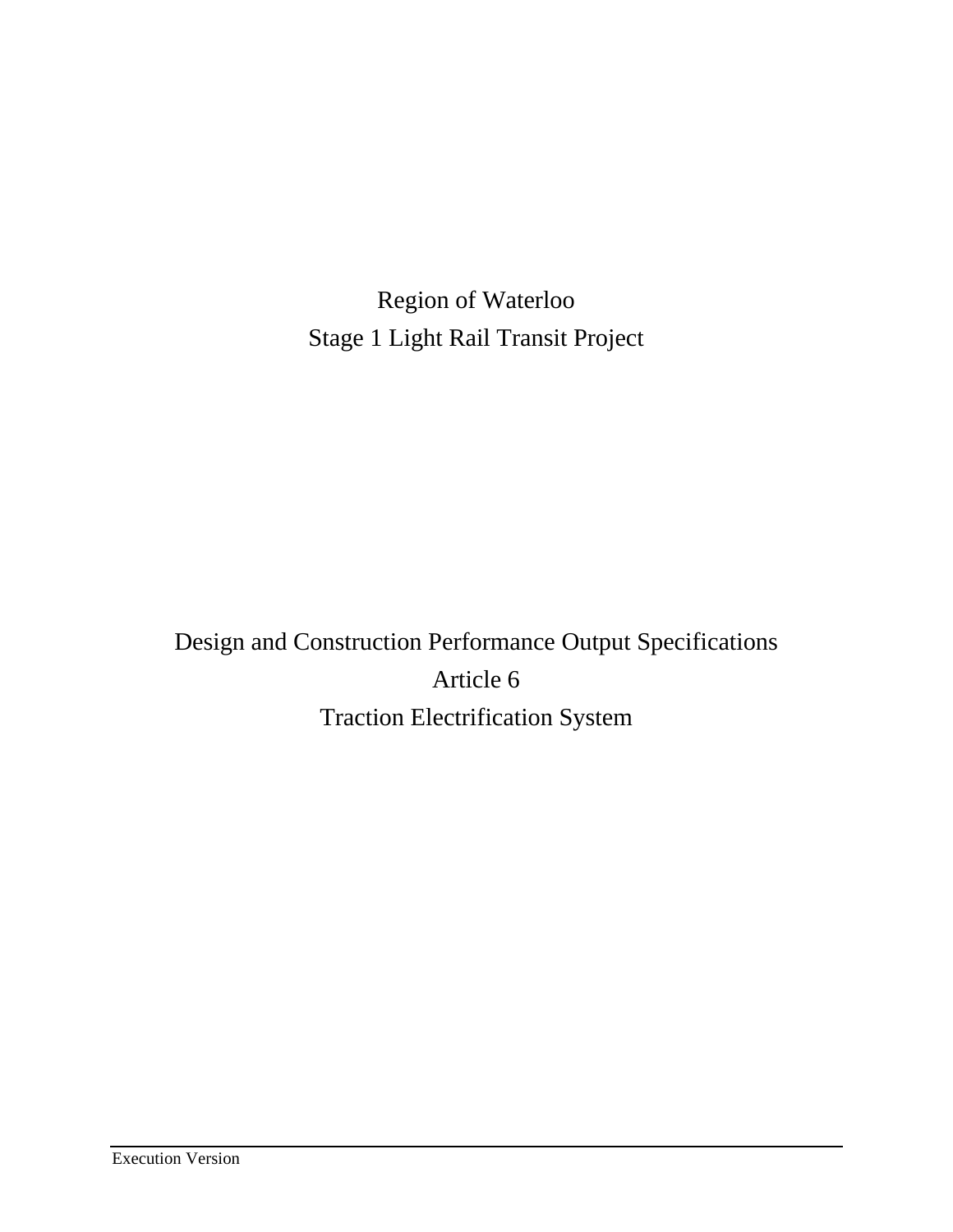Region of Waterloo Stage 1 Light Rail Transit Project

Design and Construction Performance Output Specifications Article 6 Traction Electrification System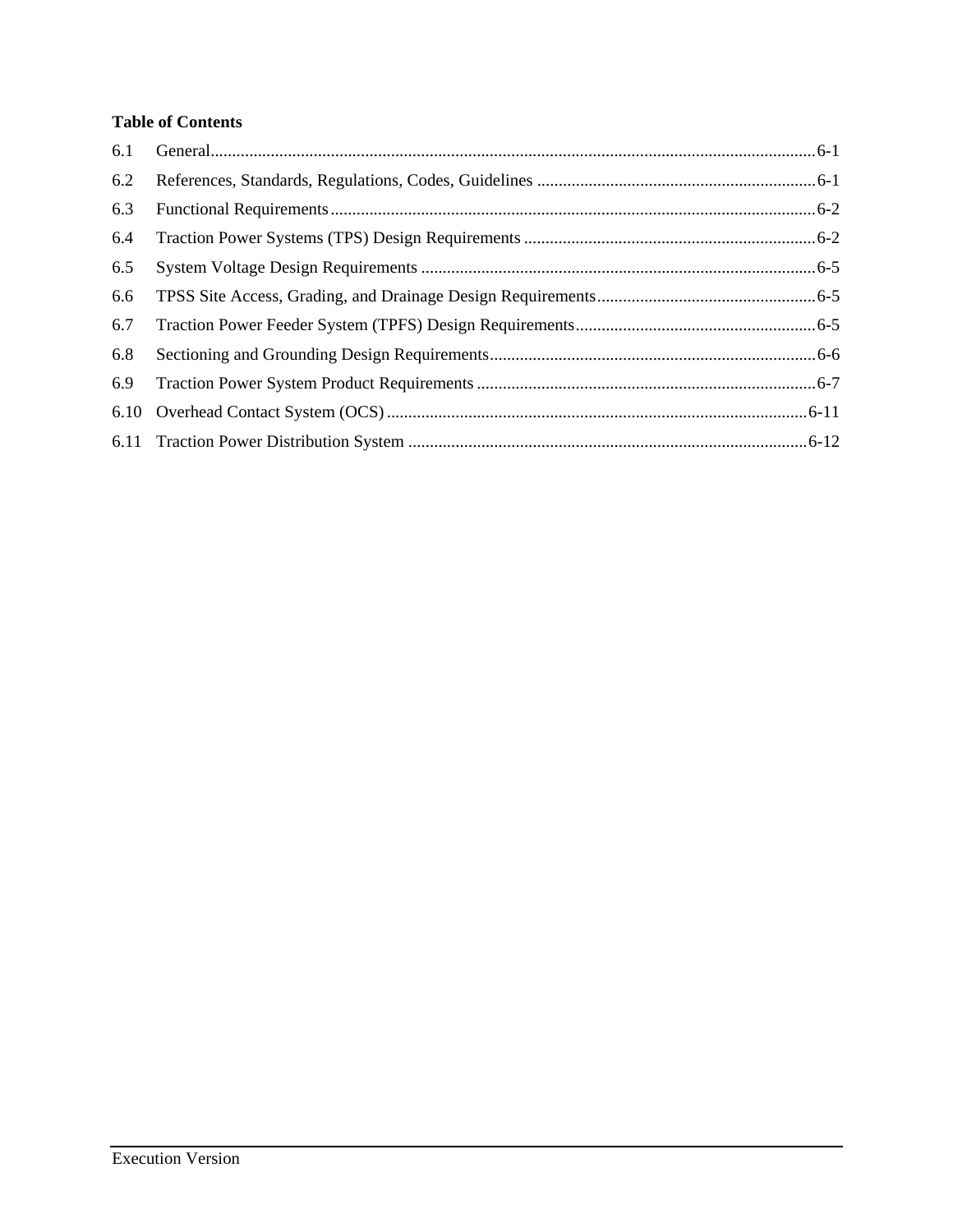# **Table of Contents**

| 6.1 |  |
|-----|--|
| 6.2 |  |
| 6.3 |  |
| 6.4 |  |
| 6.5 |  |
| 6.6 |  |
| 6.7 |  |
| 6.8 |  |
| 6.9 |  |
|     |  |
|     |  |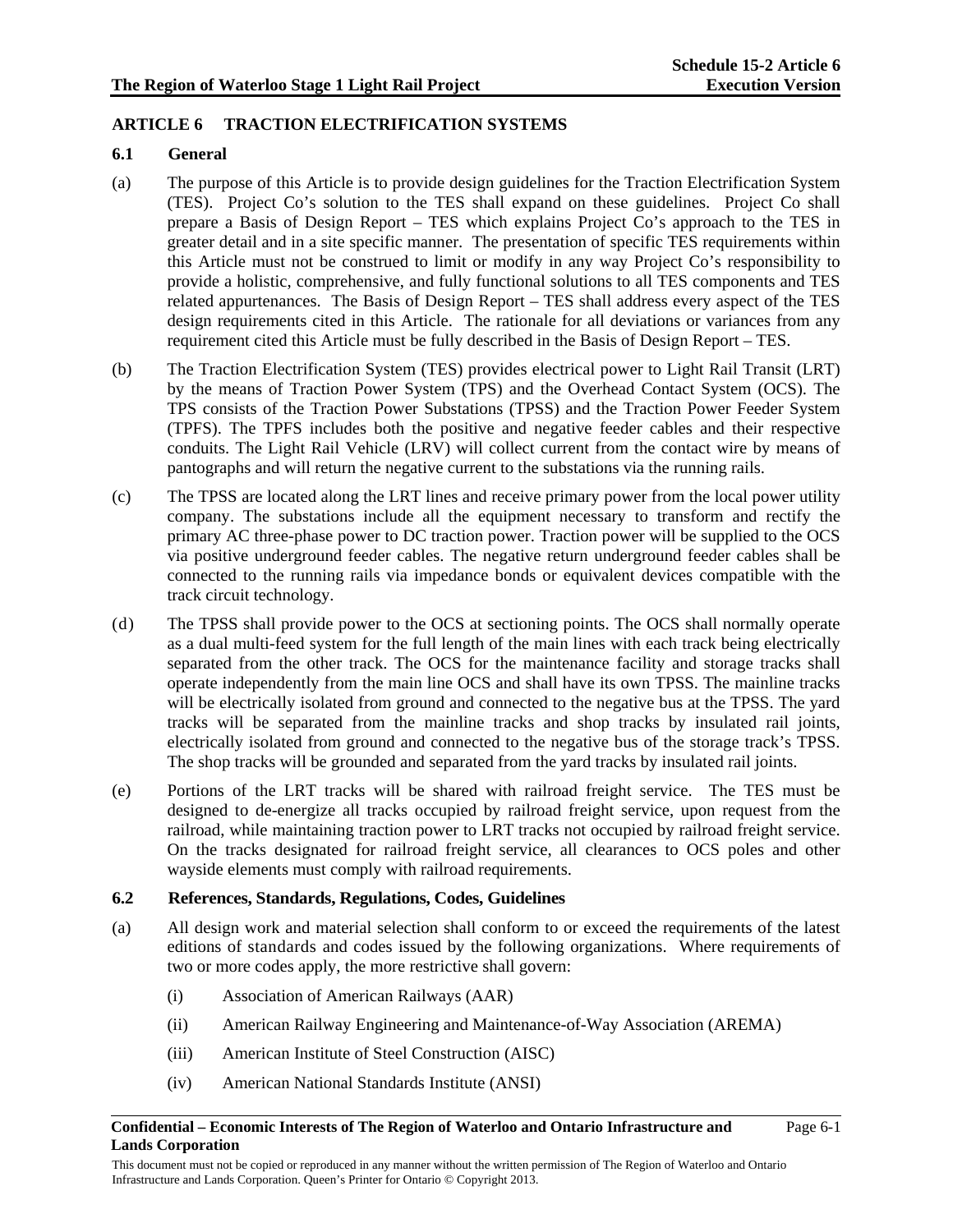# **ARTICLE 6 TRACTION ELECTRIFICATION SYSTEMS**

### **6.1 General**

- (a) The purpose of this Article is to provide design guidelines for the Traction Electrification System (TES). Project Co's solution to the TES shall expand on these guidelines. Project Co shall prepare a Basis of Design Report – TES which explains Project Co's approach to the TES in greater detail and in a site specific manner. The presentation of specific TES requirements within this Article must not be construed to limit or modify in any way Project Co's responsibility to provide a holistic, comprehensive, and fully functional solutions to all TES components and TES related appurtenances. The Basis of Design Report – TES shall address every aspect of the TES design requirements cited in this Article. The rationale for all deviations or variances from any requirement cited this Article must be fully described in the Basis of Design Report – TES.
- (b) The Traction Electrification System (TES) provides electrical power to Light Rail Transit (LRT) by the means of Traction Power System (TPS) and the Overhead Contact System (OCS). The TPS consists of the Traction Power Substations (TPSS) and the Traction Power Feeder System (TPFS). The TPFS includes both the positive and negative feeder cables and their respective conduits. The Light Rail Vehicle (LRV) will collect current from the contact wire by means of pantographs and will return the negative current to the substations via the running rails.
- (c) The TPSS are located along the LRT lines and receive primary power from the local power utility company. The substations include all the equipment necessary to transform and rectify the primary AC three-phase power to DC traction power. Traction power will be supplied to the OCS via positive underground feeder cables. The negative return underground feeder cables shall be connected to the running rails via impedance bonds or equivalent devices compatible with the track circuit technology.
- (d) The TPSS shall provide power to the OCS at sectioning points. The OCS shall normally operate as a dual multi-feed system for the full length of the main lines with each track being electrically separated from the other track. The OCS for the maintenance facility and storage tracks shall operate independently from the main line OCS and shall have its own TPSS. The mainline tracks will be electrically isolated from ground and connected to the negative bus at the TPSS. The yard tracks will be separated from the mainline tracks and shop tracks by insulated rail joints, electrically isolated from ground and connected to the negative bus of the storage track's TPSS. The shop tracks will be grounded and separated from the yard tracks by insulated rail joints.
- (e) Portions of the LRT tracks will be shared with railroad freight service. The TES must be designed to de-energize all tracks occupied by railroad freight service, upon request from the railroad, while maintaining traction power to LRT tracks not occupied by railroad freight service. On the tracks designated for railroad freight service, all clearances to OCS poles and other wayside elements must comply with railroad requirements.

## **6.2 References, Standards, Regulations, Codes, Guidelines**

- (a) All design work and material selection shall conform to or exceed the requirements of the latest editions of standards and codes issued by the following organizations. Where requirements of two or more codes apply, the more restrictive shall govern:
	- (i) Association of American Railways (AAR)
	- (ii) American Railway Engineering and Maintenance-of-Way Association (AREMA)
	- (iii) American Institute of Steel Construction (AISC)
	- (iv) American National Standards Institute (ANSI)

#### **Confidential – Economic Interests of The Region of Waterloo and Ontario Infrastructure and Lands Corporation**

Page 6-1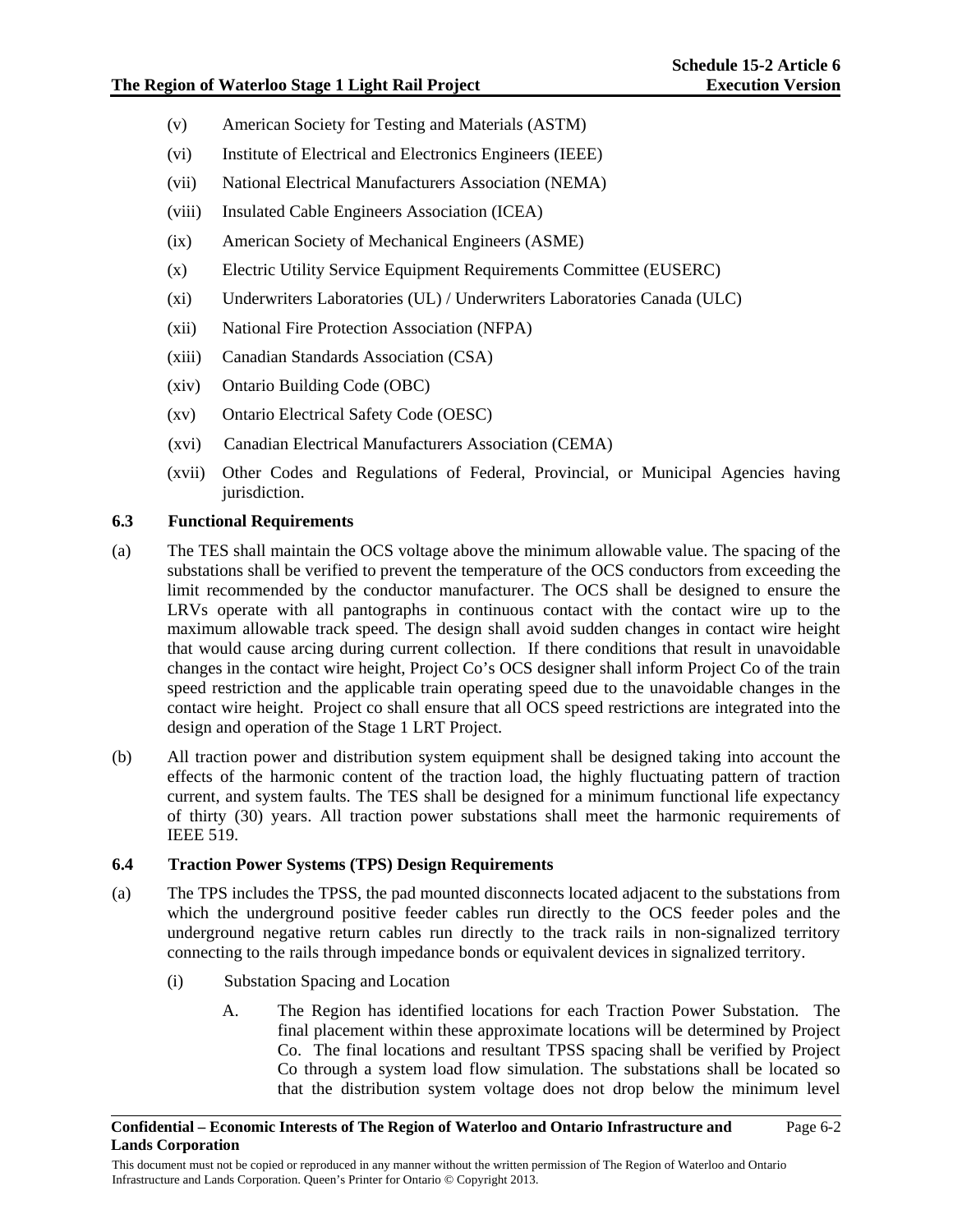- (v) American Society for Testing and Materials (ASTM)
- (vi) Institute of Electrical and Electronics Engineers (IEEE)
- (vii) National Electrical Manufacturers Association (NEMA)
- (viii) Insulated Cable Engineers Association (ICEA)
- (ix) American Society of Mechanical Engineers (ASME)
- (x) Electric Utility Service Equipment Requirements Committee (EUSERC)
- (xi) Underwriters Laboratories (UL) / Underwriters Laboratories Canada (ULC)
- (xii) National Fire Protection Association (NFPA)
- (xiii) Canadian Standards Association (CSA)
- (xiv) Ontario Building Code (OBC)
- (xv) Ontario Electrical Safety Code (OESC)
- (xvi) Canadian Electrical Manufacturers Association (CEMA)
- (xvii) Other Codes and Regulations of Federal, Provincial, or Municipal Agencies having jurisdiction.

# **6.3 Functional Requirements**

- (a) The TES shall maintain the OCS voltage above the minimum allowable value. The spacing of the substations shall be verified to prevent the temperature of the OCS conductors from exceeding the limit recommended by the conductor manufacturer. The OCS shall be designed to ensure the LRVs operate with all pantographs in continuous contact with the contact wire up to the maximum allowable track speed. The design shall avoid sudden changes in contact wire height that would cause arcing during current collection. If there conditions that result in unavoidable changes in the contact wire height, Project Co's OCS designer shall inform Project Co of the train speed restriction and the applicable train operating speed due to the unavoidable changes in the contact wire height. Project co shall ensure that all OCS speed restrictions are integrated into the design and operation of the Stage 1 LRT Project.
- (b) All traction power and distribution system equipment shall be designed taking into account the effects of the harmonic content of the traction load, the highly fluctuating pattern of traction current, and system faults. The TES shall be designed for a minimum functional life expectancy of thirty (30) years. All traction power substations shall meet the harmonic requirements of IEEE 519.

## **6.4 Traction Power Systems (TPS) Design Requirements**

- (a) The TPS includes the TPSS, the pad mounted disconnects located adjacent to the substations from which the underground positive feeder cables run directly to the OCS feeder poles and the underground negative return cables run directly to the track rails in non-signalized territory connecting to the rails through impedance bonds or equivalent devices in signalized territory.
	- (i) Substation Spacing and Location
		- A. The Region has identified locations for each Traction Power Substation. The final placement within these approximate locations will be determined by Project Co. The final locations and resultant TPSS spacing shall be verified by Project Co through a system load flow simulation. The substations shall be located so that the distribution system voltage does not drop below the minimum level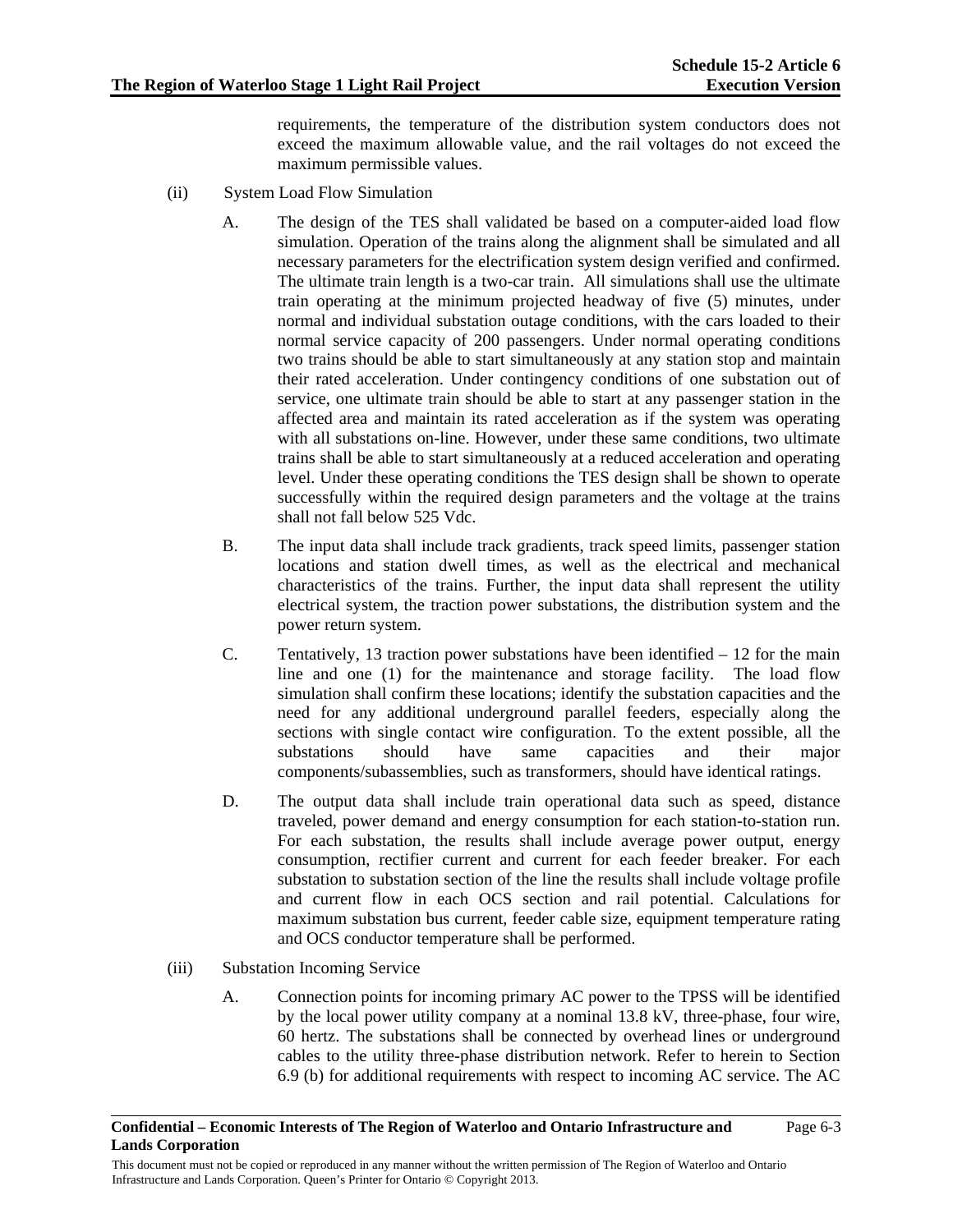requirements, the temperature of the distribution system conductors does not exceed the maximum allowable value, and the rail voltages do not exceed the maximum permissible values.

- (ii) System Load Flow Simulation
	- A. The design of the TES shall validated be based on a computer-aided load flow simulation. Operation of the trains along the alignment shall be simulated and all necessary parameters for the electrification system design verified and confirmed. The ultimate train length is a two-car train. All simulations shall use the ultimate train operating at the minimum projected headway of five (5) minutes, under normal and individual substation outage conditions, with the cars loaded to their normal service capacity of 200 passengers. Under normal operating conditions two trains should be able to start simultaneously at any station stop and maintain their rated acceleration. Under contingency conditions of one substation out of service, one ultimate train should be able to start at any passenger station in the affected area and maintain its rated acceleration as if the system was operating with all substations on-line. However, under these same conditions, two ultimate trains shall be able to start simultaneously at a reduced acceleration and operating level. Under these operating conditions the TES design shall be shown to operate successfully within the required design parameters and the voltage at the trains shall not fall below 525 Vdc.
	- B. The input data shall include track gradients, track speed limits, passenger station locations and station dwell times, as well as the electrical and mechanical characteristics of the trains. Further, the input data shall represent the utility electrical system, the traction power substations, the distribution system and the power return system.
	- C. Tentatively, 13 traction power substations have been identified  $-12$  for the main line and one (1) for the maintenance and storage facility. The load flow simulation shall confirm these locations; identify the substation capacities and the need for any additional underground parallel feeders, especially along the sections with single contact wire configuration. To the extent possible, all the substations should have same capacities and their major components/subassemblies, such as transformers, should have identical ratings.
	- D. The output data shall include train operational data such as speed, distance traveled, power demand and energy consumption for each station-to-station run. For each substation, the results shall include average power output, energy consumption, rectifier current and current for each feeder breaker. For each substation to substation section of the line the results shall include voltage profile and current flow in each OCS section and rail potential. Calculations for maximum substation bus current, feeder cable size, equipment temperature rating and OCS conductor temperature shall be performed.
- (iii) Substation Incoming Service
	- A. Connection points for incoming primary AC power to the TPSS will be identified by the local power utility company at a nominal 13.8 kV, three-phase, four wire, 60 hertz. The substations shall be connected by overhead lines or underground cables to the utility three-phase distribution network. Refer to herein to Section 6.9 (b) for additional requirements with respect to incoming AC service. The AC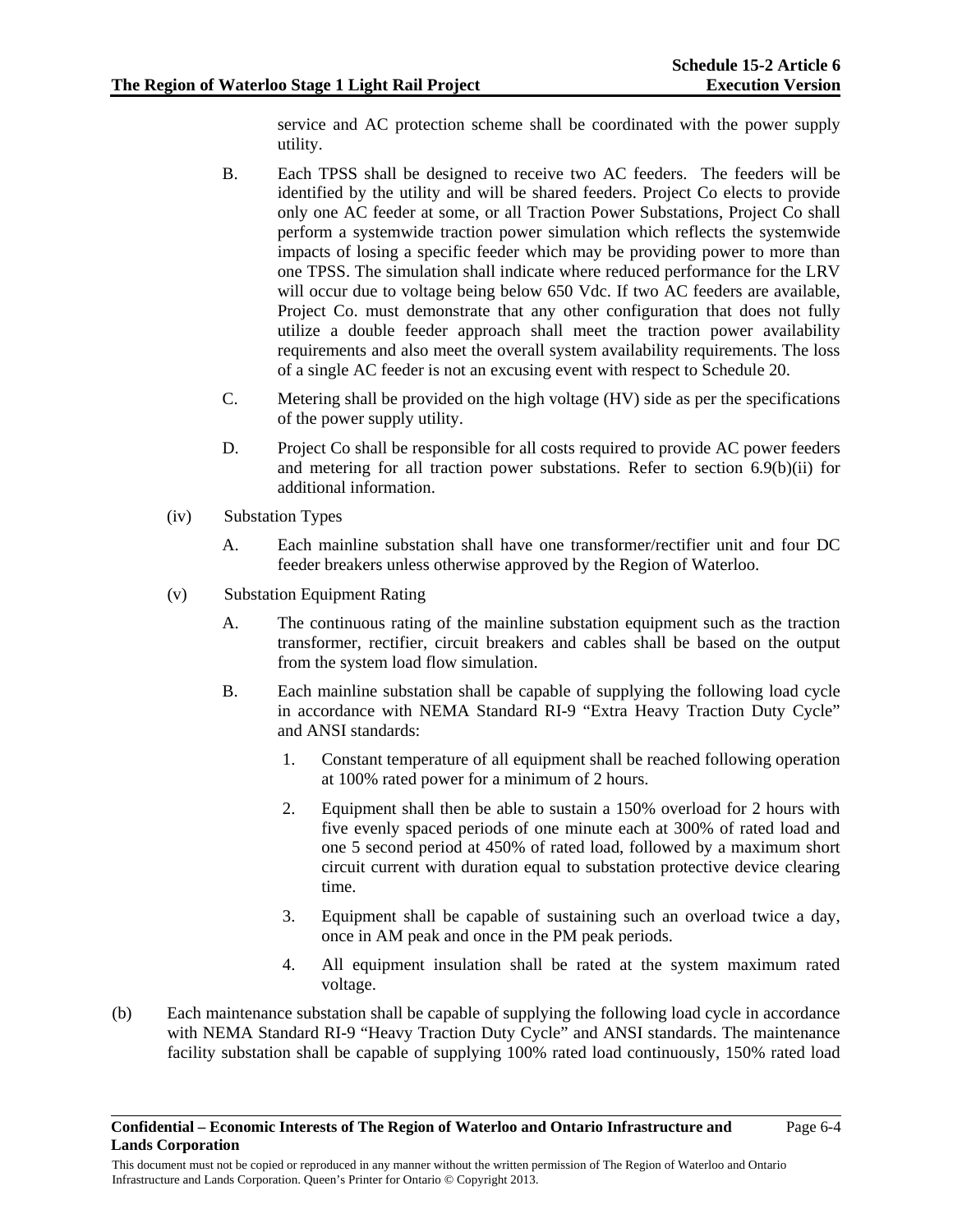Page 6-4

service and AC protection scheme shall be coordinated with the power supply utility.

- B. Each TPSS shall be designed to receive two AC feeders. The feeders will be identified by the utility and will be shared feeders. Project Co elects to provide only one AC feeder at some, or all Traction Power Substations, Project Co shall perform a systemwide traction power simulation which reflects the systemwide impacts of losing a specific feeder which may be providing power to more than one TPSS. The simulation shall indicate where reduced performance for the LRV will occur due to voltage being below 650 Vdc. If two AC feeders are available, Project Co. must demonstrate that any other configuration that does not fully utilize a double feeder approach shall meet the traction power availability requirements and also meet the overall system availability requirements. The loss of a single AC feeder is not an excusing event with respect to Schedule 20.
- C. Metering shall be provided on the high voltage (HV) side as per the specifications of the power supply utility.
- D. Project Co shall be responsible for all costs required to provide AC power feeders and metering for all traction power substations. Refer to section  $6.9(b)(ii)$  for additional information.
- (iv) Substation Types
	- A. Each mainline substation shall have one transformer/rectifier unit and four DC feeder breakers unless otherwise approved by the Region of Waterloo.
- (v) Substation Equipment Rating
	- A. The continuous rating of the mainline substation equipment such as the traction transformer, rectifier, circuit breakers and cables shall be based on the output from the system load flow simulation.
	- B. Each mainline substation shall be capable of supplying the following load cycle in accordance with NEMA Standard RI-9 "Extra Heavy Traction Duty Cycle" and ANSI standards:
		- 1. Constant temperature of all equipment shall be reached following operation at 100% rated power for a minimum of 2 hours.
		- 2. Equipment shall then be able to sustain a 150% overload for 2 hours with five evenly spaced periods of one minute each at 300% of rated load and one 5 second period at 450% of rated load, followed by a maximum short circuit current with duration equal to substation protective device clearing time.
		- 3. Equipment shall be capable of sustaining such an overload twice a day, once in AM peak and once in the PM peak periods.
		- 4. All equipment insulation shall be rated at the system maximum rated voltage.
- (b) Each maintenance substation shall be capable of supplying the following load cycle in accordance with NEMA Standard RI-9 "Heavy Traction Duty Cycle" and ANSI standards. The maintenance facility substation shall be capable of supplying 100% rated load continuously, 150% rated load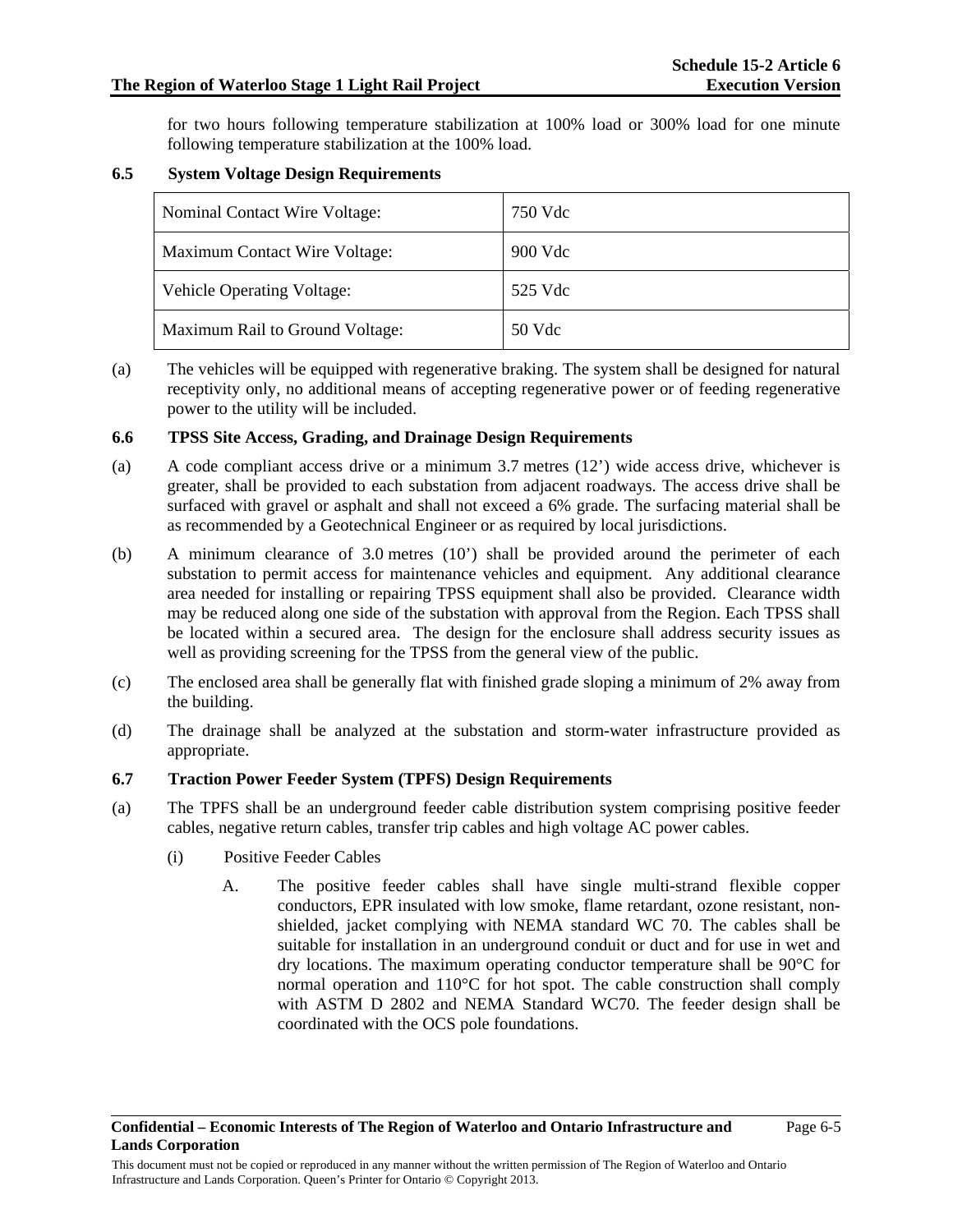Page 6-5

for two hours following temperature stabilization at 100% load or 300% load for one minute following temperature stabilization at the 100% load.

# **6.5 System Voltage Design Requirements**

| Nominal Contact Wire Voltage:     | 750 Vdc |
|-----------------------------------|---------|
| Maximum Contact Wire Voltage:     | 900 Vdc |
| <b>Vehicle Operating Voltage:</b> | 525 Vdc |
| Maximum Rail to Ground Voltage:   | 50 Vdc  |

(a) The vehicles will be equipped with regenerative braking. The system shall be designed for natural receptivity only, no additional means of accepting regenerative power or of feeding regenerative power to the utility will be included.

### **6.6 TPSS Site Access, Grading, and Drainage Design Requirements**

- (a) A code compliant access drive or a minimum  $3.7$  metres (12') wide access drive, whichever is greater, shall be provided to each substation from adjacent roadways. The access drive shall be surfaced with gravel or asphalt and shall not exceed a 6% grade. The surfacing material shall be as recommended by a Geotechnical Engineer or as required by local jurisdictions.
- (b) A minimum clearance of 3.0 metres (10') shall be provided around the perimeter of each substation to permit access for maintenance vehicles and equipment. Any additional clearance area needed for installing or repairing TPSS equipment shall also be provided. Clearance width may be reduced along one side of the substation with approval from the Region. Each TPSS shall be located within a secured area. The design for the enclosure shall address security issues as well as providing screening for the TPSS from the general view of the public.
- (c) The enclosed area shall be generally flat with finished grade sloping a minimum of 2% away from the building.
- (d) The drainage shall be analyzed at the substation and storm-water infrastructure provided as appropriate.

### **6.7 Traction Power Feeder System (TPFS) Design Requirements**

- (a) The TPFS shall be an underground feeder cable distribution system comprising positive feeder cables, negative return cables, transfer trip cables and high voltage AC power cables.
	- (i) Positive Feeder Cables
		- A. The positive feeder cables shall have single multi-strand flexible copper conductors, EPR insulated with low smoke, flame retardant, ozone resistant, nonshielded, jacket complying with NEMA standard WC 70. The cables shall be suitable for installation in an underground conduit or duct and for use in wet and dry locations. The maximum operating conductor temperature shall be 90°C for normal operation and 110°C for hot spot. The cable construction shall comply with ASTM D 2802 and NEMA Standard WC70. The feeder design shall be coordinated with the OCS pole foundations.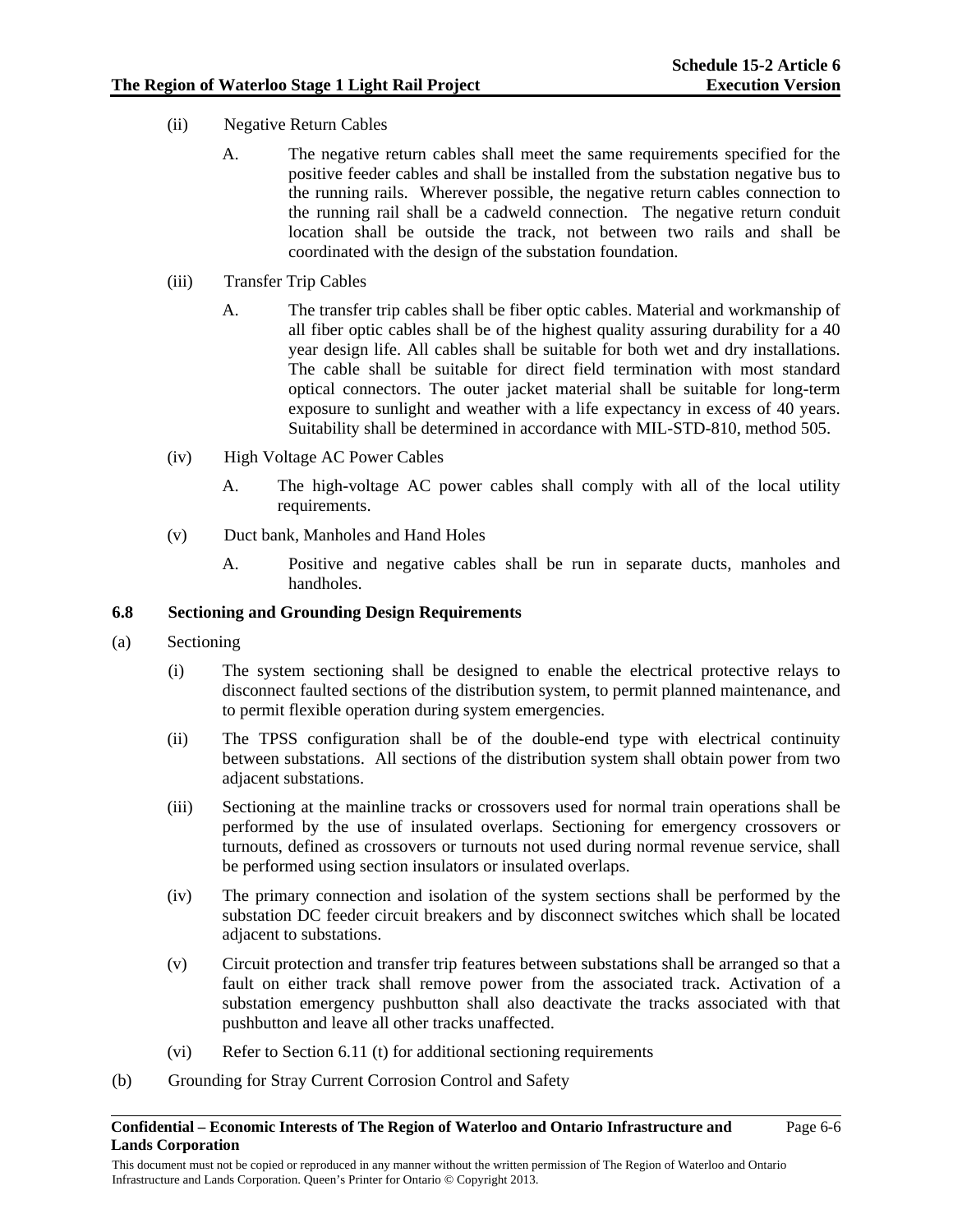- (ii) Negative Return Cables
	- A. The negative return cables shall meet the same requirements specified for the positive feeder cables and shall be installed from the substation negative bus to the running rails. Wherever possible, the negative return cables connection to the running rail shall be a cadweld connection. The negative return conduit location shall be outside the track, not between two rails and shall be coordinated with the design of the substation foundation.
- (iii) Transfer Trip Cables
	- A. The transfer trip cables shall be fiber optic cables. Material and workmanship of all fiber optic cables shall be of the highest quality assuring durability for a 40 year design life. All cables shall be suitable for both wet and dry installations. The cable shall be suitable for direct field termination with most standard optical connectors. The outer jacket material shall be suitable for long-term exposure to sunlight and weather with a life expectancy in excess of 40 years. Suitability shall be determined in accordance with MIL-STD-810, method 505.
- (iv) High Voltage AC Power Cables
	- A. The high-voltage AC power cables shall comply with all of the local utility requirements.
- (v) Duct bank, Manholes and Hand Holes
	- A. Positive and negative cables shall be run in separate ducts, manholes and handholes.

# **6.8 Sectioning and Grounding Design Requirements**

- (a) Sectioning
	- (i) The system sectioning shall be designed to enable the electrical protective relays to disconnect faulted sections of the distribution system, to permit planned maintenance, and to permit flexible operation during system emergencies.
	- (ii) The TPSS configuration shall be of the double-end type with electrical continuity between substations. All sections of the distribution system shall obtain power from two adjacent substations.
	- (iii) Sectioning at the mainline tracks or crossovers used for normal train operations shall be performed by the use of insulated overlaps. Sectioning for emergency crossovers or turnouts, defined as crossovers or turnouts not used during normal revenue service, shall be performed using section insulators or insulated overlaps.
	- (iv) The primary connection and isolation of the system sections shall be performed by the substation DC feeder circuit breakers and by disconnect switches which shall be located adjacent to substations.
	- (v) Circuit protection and transfer trip features between substations shall be arranged so that a fault on either track shall remove power from the associated track. Activation of a substation emergency pushbutton shall also deactivate the tracks associated with that pushbutton and leave all other tracks unaffected.
	- (vi) Refer to Section 6.11 (t) for additional sectioning requirements
- (b) Grounding for Stray Current Corrosion Control and Safety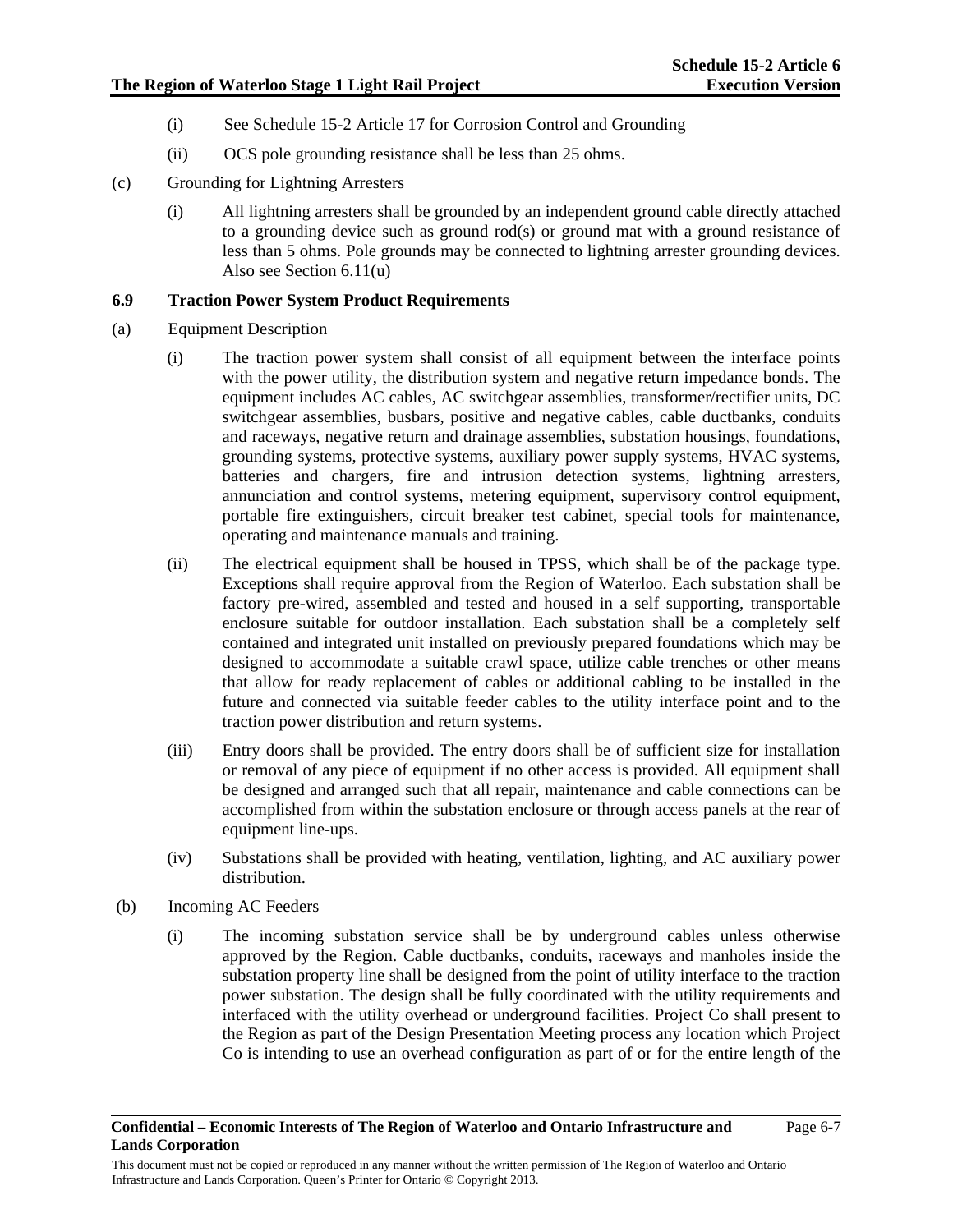- (i) See Schedule 15-2 Article 17 for Corrosion Control and Grounding
- (ii) OCS pole grounding resistance shall be less than 25 ohms.
- (c) Grounding for Lightning Arresters
	- (i) All lightning arresters shall be grounded by an independent ground cable directly attached to a grounding device such as ground rod(s) or ground mat with a ground resistance of less than 5 ohms. Pole grounds may be connected to lightning arrester grounding devices. Also see Section 6.11(u)

## **6.9 Traction Power System Product Requirements**

- (a) Equipment Description
	- (i) The traction power system shall consist of all equipment between the interface points with the power utility, the distribution system and negative return impedance bonds. The equipment includes AC cables, AC switchgear assemblies, transformer/rectifier units, DC switchgear assemblies, busbars, positive and negative cables, cable ductbanks, conduits and raceways, negative return and drainage assemblies, substation housings, foundations, grounding systems, protective systems, auxiliary power supply systems, HVAC systems, batteries and chargers, fire and intrusion detection systems, lightning arresters, annunciation and control systems, metering equipment, supervisory control equipment, portable fire extinguishers, circuit breaker test cabinet, special tools for maintenance, operating and maintenance manuals and training.
	- (ii) The electrical equipment shall be housed in TPSS, which shall be of the package type. Exceptions shall require approval from the Region of Waterloo. Each substation shall be factory pre-wired, assembled and tested and housed in a self supporting, transportable enclosure suitable for outdoor installation. Each substation shall be a completely self contained and integrated unit installed on previously prepared foundations which may be designed to accommodate a suitable crawl space, utilize cable trenches or other means that allow for ready replacement of cables or additional cabling to be installed in the future and connected via suitable feeder cables to the utility interface point and to the traction power distribution and return systems.
	- (iii) Entry doors shall be provided. The entry doors shall be of sufficient size for installation or removal of any piece of equipment if no other access is provided. All equipment shall be designed and arranged such that all repair, maintenance and cable connections can be accomplished from within the substation enclosure or through access panels at the rear of equipment line-ups.
	- (iv) Substations shall be provided with heating, ventilation, lighting, and AC auxiliary power distribution.
- (b) Incoming AC Feeders
	- (i) The incoming substation service shall be by underground cables unless otherwise approved by the Region. Cable ductbanks, conduits, raceways and manholes inside the substation property line shall be designed from the point of utility interface to the traction power substation. The design shall be fully coordinated with the utility requirements and interfaced with the utility overhead or underground facilities. Project Co shall present to the Region as part of the Design Presentation Meeting process any location which Project Co is intending to use an overhead configuration as part of or for the entire length of the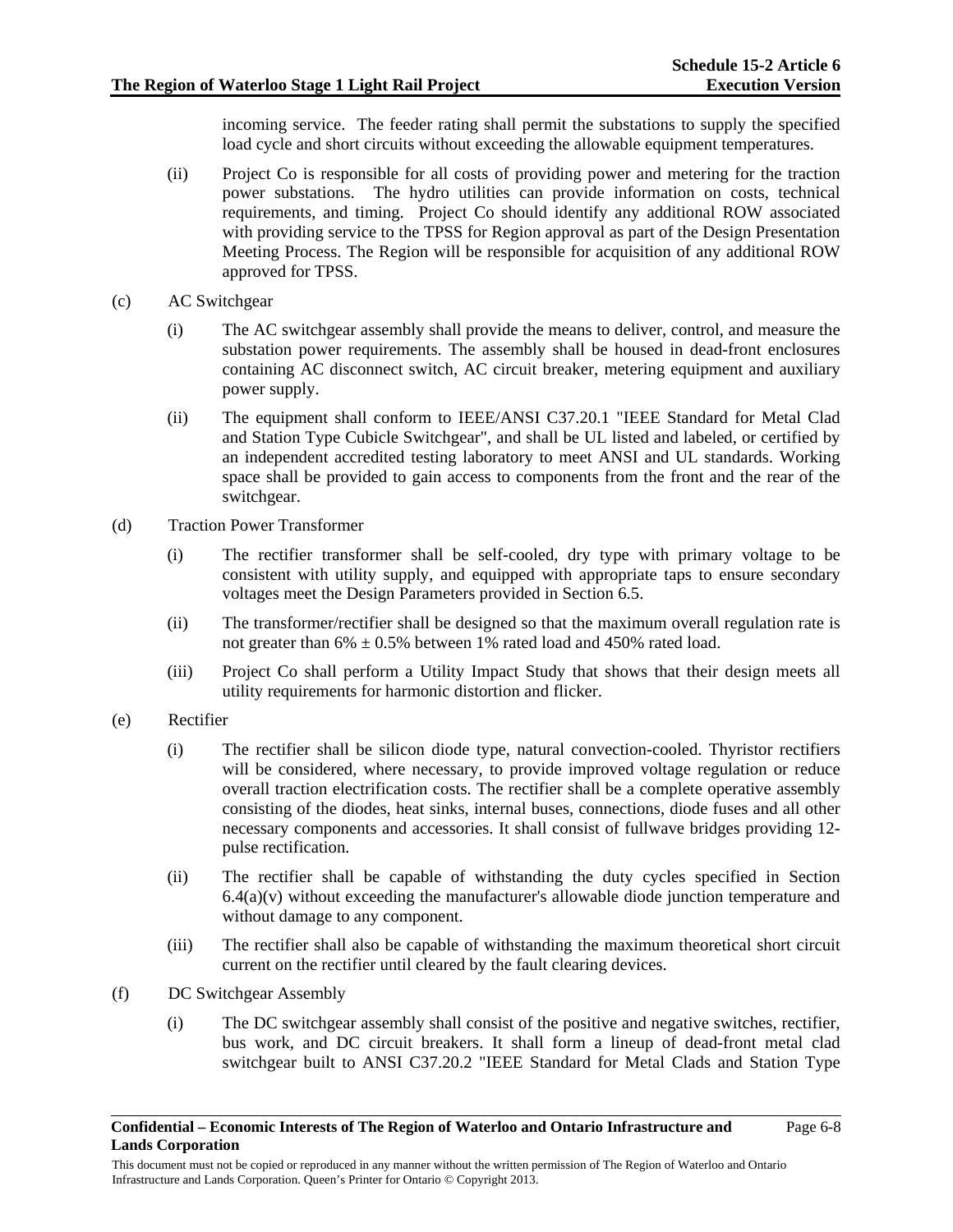incoming service. The feeder rating shall permit the substations to supply the specified load cycle and short circuits without exceeding the allowable equipment temperatures.

- (ii) Project Co is responsible for all costs of providing power and metering for the traction power substations. The hydro utilities can provide information on costs, technical requirements, and timing. Project Co should identify any additional ROW associated with providing service to the TPSS for Region approval as part of the Design Presentation Meeting Process. The Region will be responsible for acquisition of any additional ROW approved for TPSS.
- (c) AC Switchgear
	- (i) The AC switchgear assembly shall provide the means to deliver, control, and measure the substation power requirements. The assembly shall be housed in dead-front enclosures containing AC disconnect switch, AC circuit breaker, metering equipment and auxiliary power supply.
	- (ii) The equipment shall conform to IEEE/ANSI C37.20.1 "IEEE Standard for Metal Clad and Station Type Cubicle Switchgear", and shall be UL listed and labeled, or certified by an independent accredited testing laboratory to meet ANSI and UL standards. Working space shall be provided to gain access to components from the front and the rear of the switchgear.
- (d) Traction Power Transformer
	- (i) The rectifier transformer shall be self-cooled, dry type with primary voltage to be consistent with utility supply, and equipped with appropriate taps to ensure secondary voltages meet the Design Parameters provided in Section 6.5.
	- (ii) The transformer/rectifier shall be designed so that the maximum overall regulation rate is not greater than  $6\% \pm 0.5\%$  between 1% rated load and 450% rated load.
	- (iii) Project Co shall perform a Utility Impact Study that shows that their design meets all utility requirements for harmonic distortion and flicker.
- (e) Rectifier
	- (i) The rectifier shall be silicon diode type, natural convection-cooled. Thyristor rectifiers will be considered, where necessary, to provide improved voltage regulation or reduce overall traction electrification costs. The rectifier shall be a complete operative assembly consisting of the diodes, heat sinks, internal buses, connections, diode fuses and all other necessary components and accessories. It shall consist of fullwave bridges providing 12 pulse rectification.
	- (ii) The rectifier shall be capable of withstanding the duty cycles specified in Section  $6.4(a)(v)$  without exceeding the manufacturer's allowable diode junction temperature and without damage to any component.
	- (iii) The rectifier shall also be capable of withstanding the maximum theoretical short circuit current on the rectifier until cleared by the fault clearing devices.
- (f) DC Switchgear Assembly
	- (i) The DC switchgear assembly shall consist of the positive and negative switches, rectifier, bus work, and DC circuit breakers. It shall form a lineup of dead-front metal clad switchgear built to ANSI C37.20.2 "IEEE Standard for Metal Clads and Station Type

Page 6-8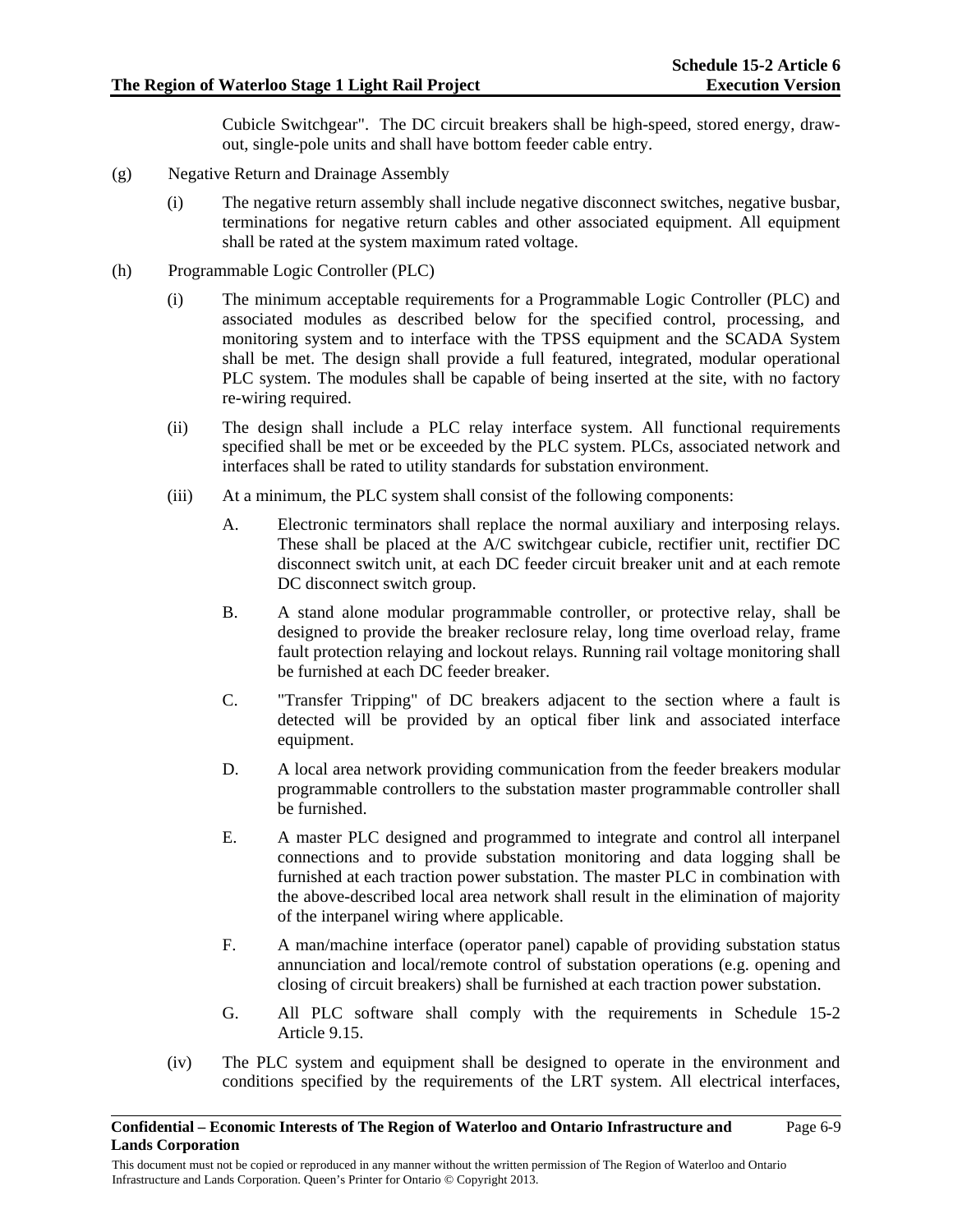Cubicle Switchgear". The DC circuit breakers shall be high-speed, stored energy, drawout, single-pole units and shall have bottom feeder cable entry.

- (g) Negative Return and Drainage Assembly
	- (i) The negative return assembly shall include negative disconnect switches, negative busbar, terminations for negative return cables and other associated equipment. All equipment shall be rated at the system maximum rated voltage.
- (h) Programmable Logic Controller (PLC)
	- (i) The minimum acceptable requirements for a Programmable Logic Controller (PLC) and associated modules as described below for the specified control, processing, and monitoring system and to interface with the TPSS equipment and the SCADA System shall be met. The design shall provide a full featured, integrated, modular operational PLC system. The modules shall be capable of being inserted at the site, with no factory re-wiring required.
	- (ii) The design shall include a PLC relay interface system. All functional requirements specified shall be met or be exceeded by the PLC system. PLCs, associated network and interfaces shall be rated to utility standards for substation environment.
	- (iii) At a minimum, the PLC system shall consist of the following components:
		- A. Electronic terminators shall replace the normal auxiliary and interposing relays. These shall be placed at the A/C switchgear cubicle, rectifier unit, rectifier DC disconnect switch unit, at each DC feeder circuit breaker unit and at each remote DC disconnect switch group.
		- B. A stand alone modular programmable controller, or protective relay, shall be designed to provide the breaker reclosure relay, long time overload relay, frame fault protection relaying and lockout relays. Running rail voltage monitoring shall be furnished at each DC feeder breaker.
		- C. "Transfer Tripping" of DC breakers adjacent to the section where a fault is detected will be provided by an optical fiber link and associated interface equipment.
		- D. A local area network providing communication from the feeder breakers modular programmable controllers to the substation master programmable controller shall be furnished.
		- E. A master PLC designed and programmed to integrate and control all interpanel connections and to provide substation monitoring and data logging shall be furnished at each traction power substation. The master PLC in combination with the above-described local area network shall result in the elimination of majority of the interpanel wiring where applicable.
		- F. A man/machine interface (operator panel) capable of providing substation status annunciation and local/remote control of substation operations (e.g. opening and closing of circuit breakers) shall be furnished at each traction power substation.
		- G. All PLC software shall comply with the requirements in Schedule 15-2 Article 9.15.
	- (iv) The PLC system and equipment shall be designed to operate in the environment and conditions specified by the requirements of the LRT system. All electrical interfaces,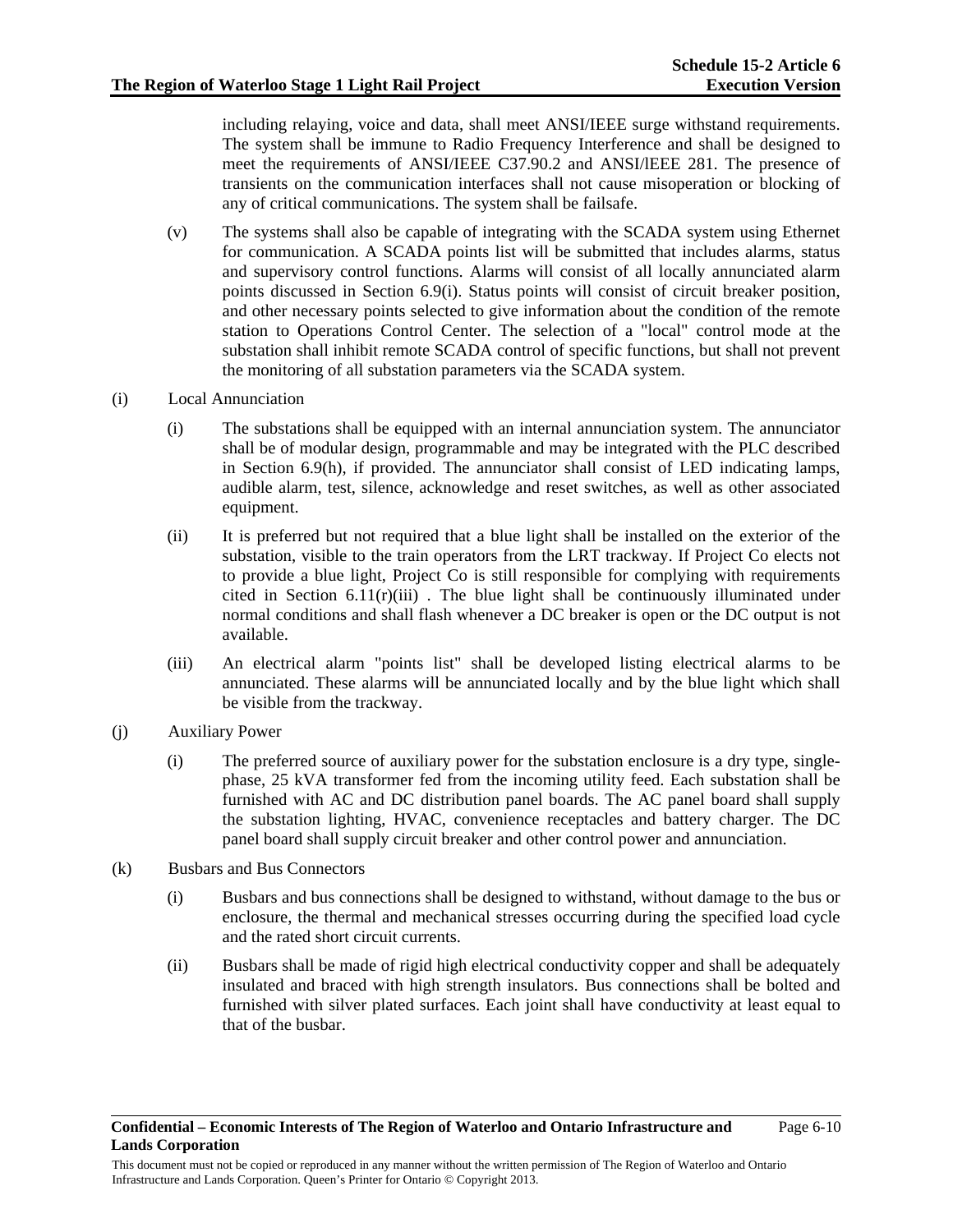including relaying, voice and data, shall meet ANSI/IEEE surge withstand requirements. The system shall be immune to Radio Frequency Interference and shall be designed to meet the requirements of ANSI/IEEE C37.90.2 and ANSI/lEEE 281. The presence of transients on the communication interfaces shall not cause misoperation or blocking of any of critical communications. The system shall be failsafe.

- (v) The systems shall also be capable of integrating with the SCADA system using Ethernet for communication. A SCADA points list will be submitted that includes alarms, status and supervisory control functions. Alarms will consist of all locally annunciated alarm points discussed in Section 6.9(i). Status points will consist of circuit breaker position, and other necessary points selected to give information about the condition of the remote station to Operations Control Center. The selection of a "local" control mode at the substation shall inhibit remote SCADA control of specific functions, but shall not prevent the monitoring of all substation parameters via the SCADA system.
- (i) Local Annunciation
	- (i) The substations shall be equipped with an internal annunciation system. The annunciator shall be of modular design, programmable and may be integrated with the PLC described in Section 6.9(h), if provided. The annunciator shall consist of LED indicating lamps, audible alarm, test, silence, acknowledge and reset switches, as well as other associated equipment.
	- (ii) It is preferred but not required that a blue light shall be installed on the exterior of the substation, visible to the train operators from the LRT trackway. If Project Co elects not to provide a blue light, Project Co is still responsible for complying with requirements cited in Section  $6.11(r)(iii)$ . The blue light shall be continuously illuminated under normal conditions and shall flash whenever a DC breaker is open or the DC output is not available.
	- (iii) An electrical alarm "points list" shall be developed listing electrical alarms to be annunciated. These alarms will be annunciated locally and by the blue light which shall be visible from the trackway.
- (j) Auxiliary Power
	- (i) The preferred source of auxiliary power for the substation enclosure is a dry type, singlephase, 25 kVA transformer fed from the incoming utility feed. Each substation shall be furnished with AC and DC distribution panel boards. The AC panel board shall supply the substation lighting, HVAC, convenience receptacles and battery charger. The DC panel board shall supply circuit breaker and other control power and annunciation.
- (k) Busbars and Bus Connectors
	- (i) Busbars and bus connections shall be designed to withstand, without damage to the bus or enclosure, the thermal and mechanical stresses occurring during the specified load cycle and the rated short circuit currents.
	- (ii) Busbars shall be made of rigid high electrical conductivity copper and shall be adequately insulated and braced with high strength insulators. Bus connections shall be bolted and furnished with silver plated surfaces. Each joint shall have conductivity at least equal to that of the busbar.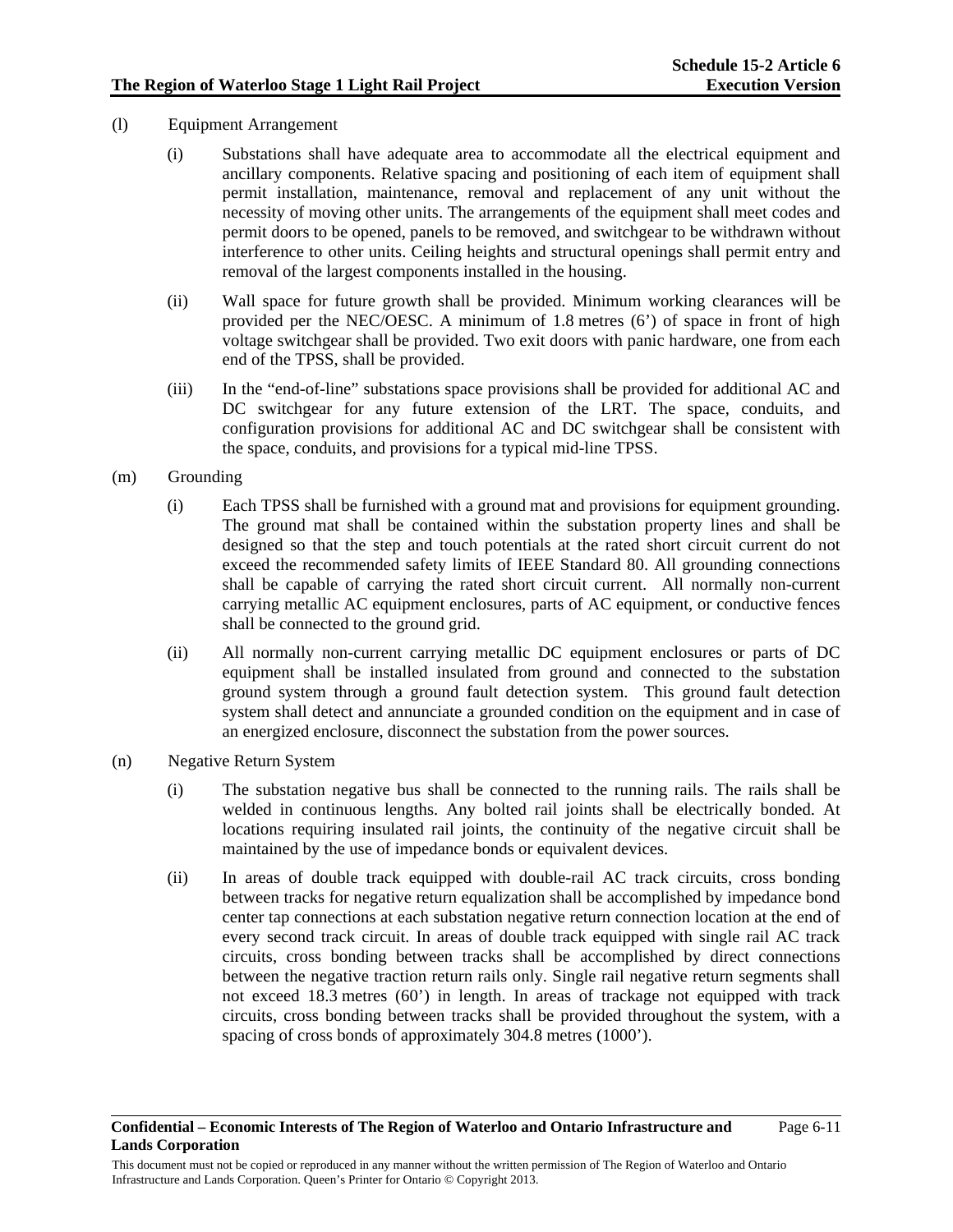- (l) Equipment Arrangement
	- (i) Substations shall have adequate area to accommodate all the electrical equipment and ancillary components. Relative spacing and positioning of each item of equipment shall permit installation, maintenance, removal and replacement of any unit without the necessity of moving other units. The arrangements of the equipment shall meet codes and permit doors to be opened, panels to be removed, and switchgear to be withdrawn without interference to other units. Ceiling heights and structural openings shall permit entry and removal of the largest components installed in the housing.
	- (ii) Wall space for future growth shall be provided. Minimum working clearances will be provided per the NEC/OESC. A minimum of 1.8 metres (6') of space in front of high voltage switchgear shall be provided. Two exit doors with panic hardware, one from each end of the TPSS, shall be provided.
	- (iii) In the "end-of-line" substations space provisions shall be provided for additional AC and DC switchgear for any future extension of the LRT. The space, conduits, and configuration provisions for additional AC and DC switchgear shall be consistent with the space, conduits, and provisions for a typical mid-line TPSS.
- (m) Grounding
	- (i) Each TPSS shall be furnished with a ground mat and provisions for equipment grounding. The ground mat shall be contained within the substation property lines and shall be designed so that the step and touch potentials at the rated short circuit current do not exceed the recommended safety limits of IEEE Standard 80. All grounding connections shall be capable of carrying the rated short circuit current. All normally non-current carrying metallic AC equipment enclosures, parts of AC equipment, or conductive fences shall be connected to the ground grid.
	- (ii) All normally non-current carrying metallic DC equipment enclosures or parts of DC equipment shall be installed insulated from ground and connected to the substation ground system through a ground fault detection system. This ground fault detection system shall detect and annunciate a grounded condition on the equipment and in case of an energized enclosure, disconnect the substation from the power sources.
- (n) Negative Return System
	- (i) The substation negative bus shall be connected to the running rails. The rails shall be welded in continuous lengths. Any bolted rail joints shall be electrically bonded. At locations requiring insulated rail joints, the continuity of the negative circuit shall be maintained by the use of impedance bonds or equivalent devices.
	- (ii) In areas of double track equipped with double-rail AC track circuits, cross bonding between tracks for negative return equalization shall be accomplished by impedance bond center tap connections at each substation negative return connection location at the end of every second track circuit. In areas of double track equipped with single rail AC track circuits, cross bonding between tracks shall be accomplished by direct connections between the negative traction return rails only. Single rail negative return segments shall not exceed 18.3 metres (60') in length. In areas of trackage not equipped with track circuits, cross bonding between tracks shall be provided throughout the system, with a spacing of cross bonds of approximately 304.8 metres (1000').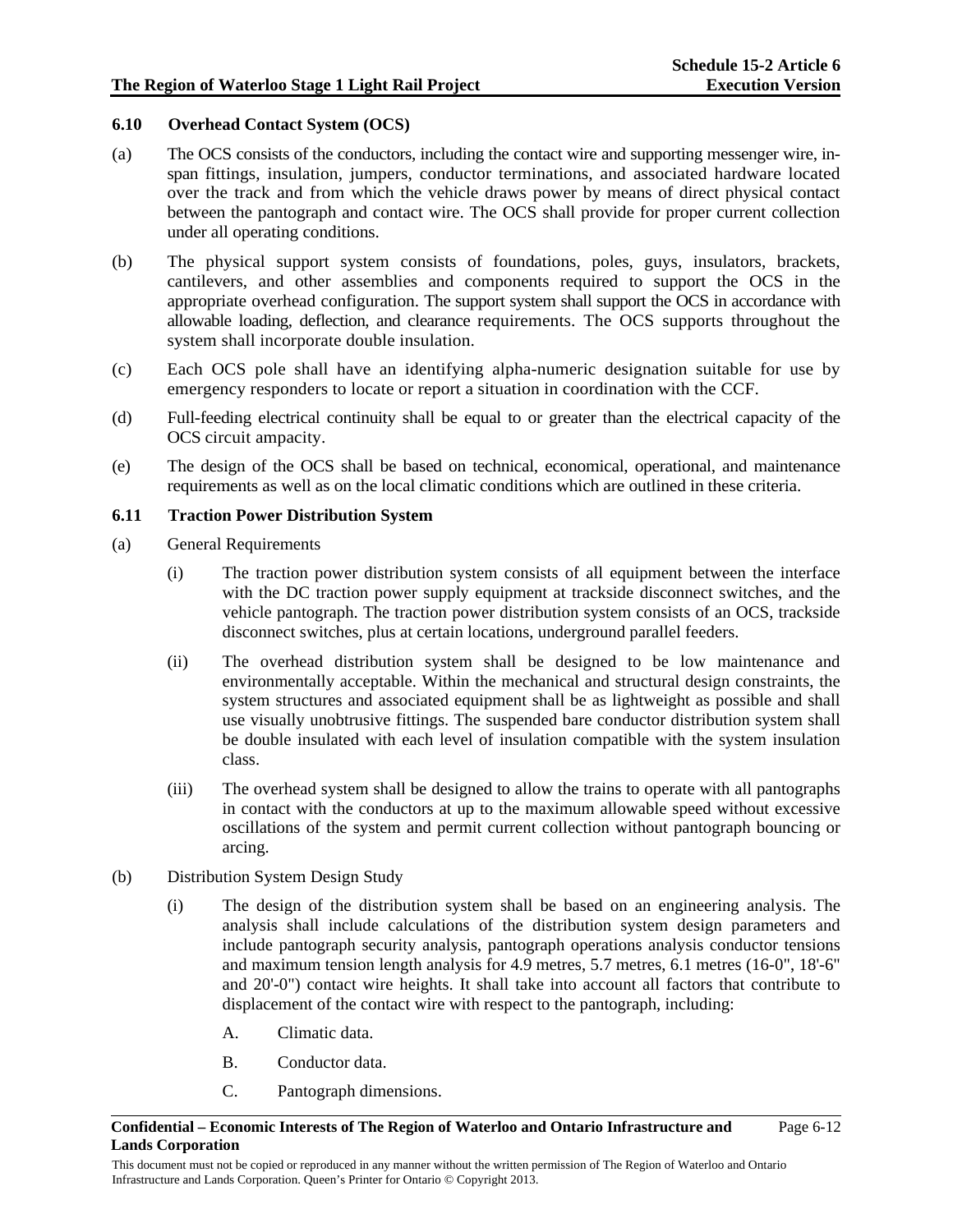### **6.10 Overhead Contact System (OCS)**

- (a) The OCS consists of the conductors, including the contact wire and supporting messenger wire, inspan fittings, insulation, jumpers, conductor terminations, and associated hardware located over the track and from which the vehicle draws power by means of direct physical contact between the pantograph and contact wire. The OCS shall provide for proper current collection under all operating conditions.
- (b) The physical support system consists of foundations, poles, guys, insulators, brackets, cantilevers, and other assemblies and components required to support the OCS in the appropriate overhead configuration. The support system shall support the OCS in accordance with allowable loading, deflection, and clearance requirements. The OCS supports throughout the system shall incorporate double insulation.
- (c) Each OCS pole shall have an identifying alpha-numeric designation suitable for use by emergency responders to locate or report a situation in coordination with the CCF.
- (d) Full-feeding electrical continuity shall be equal to or greater than the electrical capacity of the OCS circuit ampacity.
- (e) The design of the OCS shall be based on technical, economical, operational, and maintenance requirements as well as on the local climatic conditions which are outlined in these criteria.

### **6.11 Traction Power Distribution System**

- (a) General Requirements
	- (i) The traction power distribution system consists of all equipment between the interface with the DC traction power supply equipment at trackside disconnect switches, and the vehicle pantograph. The traction power distribution system consists of an OCS, trackside disconnect switches, plus at certain locations, underground parallel feeders.
	- (ii) The overhead distribution system shall be designed to be low maintenance and environmentally acceptable. Within the mechanical and structural design constraints, the system structures and associated equipment shall be as lightweight as possible and shall use visually unobtrusive fittings. The suspended bare conductor distribution system shall be double insulated with each level of insulation compatible with the system insulation class.
	- (iii) The overhead system shall be designed to allow the trains to operate with all pantographs in contact with the conductors at up to the maximum allowable speed without excessive oscillations of the system and permit current collection without pantograph bouncing or arcing.
- (b) Distribution System Design Study
	- (i) The design of the distribution system shall be based on an engineering analysis. The analysis shall include calculations of the distribution system design parameters and include pantograph security analysis, pantograph operations analysis conductor tensions and maximum tension length analysis for 4.9 metres, 5.7 metres, 6.1 metres (16-0", 18'-6" and 20'-0") contact wire heights. It shall take into account all factors that contribute to displacement of the contact wire with respect to the pantograph, including:
		- A. Climatic data.
		- B. Conductor data.
		- C. Pantograph dimensions.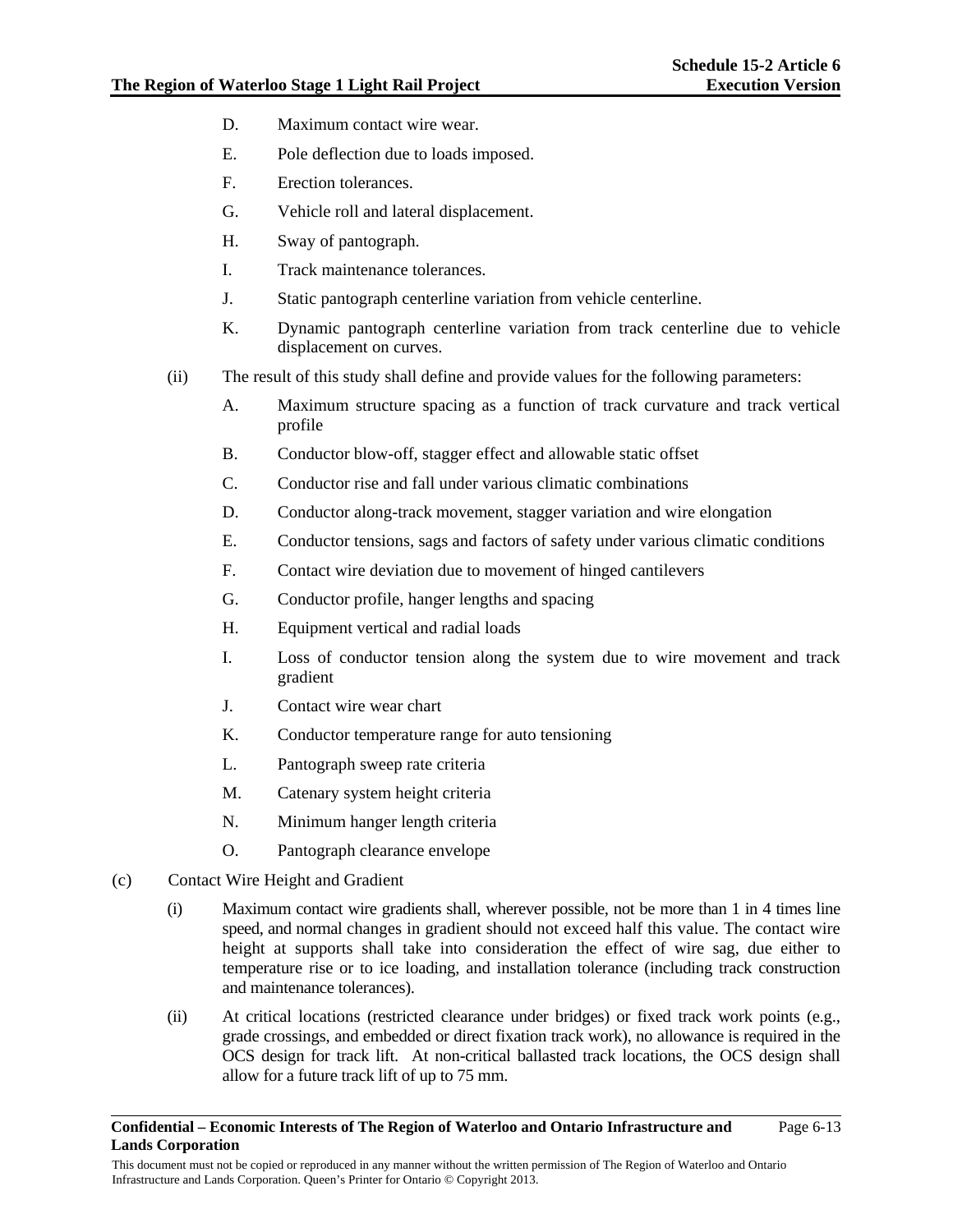- D. Maximum contact wire wear.
- E. Pole deflection due to loads imposed.
- F. Erection tolerances.
- G. Vehicle roll and lateral displacement.
- H. Sway of pantograph.
- I. Track maintenance tolerances.
- J. Static pantograph centerline variation from vehicle centerline.
- K. Dynamic pantograph centerline variation from track centerline due to vehicle displacement on curves.
- (ii) The result of this study shall define and provide values for the following parameters:
	- A. Maximum structure spacing as a function of track curvature and track vertical profile
	- B. Conductor blow-off, stagger effect and allowable static offset
	- C. Conductor rise and fall under various climatic combinations
	- D. Conductor along-track movement, stagger variation and wire elongation
	- E. Conductor tensions, sags and factors of safety under various climatic conditions
	- F. Contact wire deviation due to movement of hinged cantilevers
	- G. Conductor profile, hanger lengths and spacing
	- H. Equipment vertical and radial loads
	- I. Loss of conductor tension along the system due to wire movement and track gradient
	- J. Contact wire wear chart
	- K. Conductor temperature range for auto tensioning
	- L. Pantograph sweep rate criteria
	- M. Catenary system height criteria
	- N. Minimum hanger length criteria
	- O. Pantograph clearance envelope
- (c) Contact Wire Height and Gradient
	- (i) Maximum contact wire gradients shall, wherever possible, not be more than 1 in 4 times line speed, and normal changes in gradient should not exceed half this value. The contact wire height at supports shall take into consideration the effect of wire sag, due either to temperature rise or to ice loading, and installation tolerance (including track construction and maintenance tolerances).
	- (ii) At critical locations (restricted clearance under bridges) or fixed track work points (e.g., grade crossings, and embedded or direct fixation track work), no allowance is required in the OCS design for track lift. At non-critical ballasted track locations, the OCS design shall allow for a future track lift of up to 75 mm.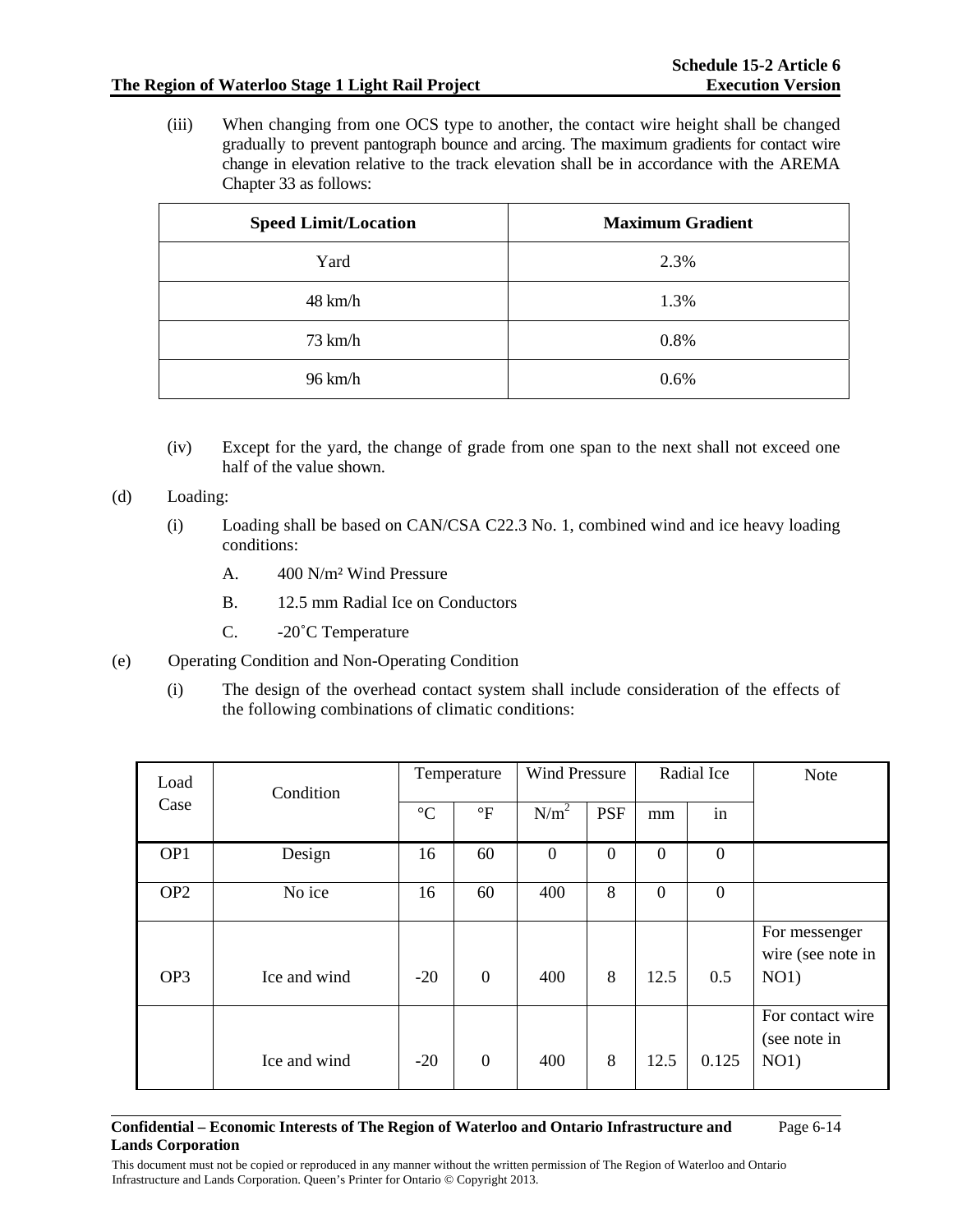# **The Region of Waterloo Stage 1 Light Rail Project**

(iii) When changing from one OCS type to another, the contact wire height shall be changed gradually to prevent pantograph bounce and arcing. The maximum gradients for contact wire change in elevation relative to the track elevation shall be in accordance with the AREMA Chapter 33 as follows:

| <b>Speed Limit/Location</b> | <b>Maximum Gradient</b> |
|-----------------------------|-------------------------|
| Yard                        | 2.3%                    |
| $48 \text{ km/h}$           | 1.3%                    |
| $73 \text{ km/h}$           | 0.8%                    |
| $96 \text{ km/h}$           | 0.6%                    |

(iv) Except for the yard, the change of grade from one span to the next shall not exceed one half of the value shown.

(d) Loading:

- (i) Loading shall be based on CAN/CSA C22.3 No. 1, combined wind and ice heavy loading conditions:
	- A. 400 N/m² Wind Pressure
	- B. 12.5 mm Radial Ice on Conductors
	- C. -20˚C Temperature
- (e) Operating Condition and Non-Operating Condition
	- (i) The design of the overhead contact system shall include consideration of the effects of the following combinations of climatic conditions:

| Load            | Condition    | Temperature     |                 | <b>Wind Pressure</b> |              | Radial Ice     |                  | <b>Note</b>                        |
|-----------------|--------------|-----------------|-----------------|----------------------|--------------|----------------|------------------|------------------------------------|
| Case            |              | $\rm ^{\circ}C$ | $\rm ^{\circ}F$ | N/m <sup>2</sup>     | <b>PSF</b>   | mm             | in               |                                    |
| OP1             | Design       | 16              | 60              | $\mathbf{0}$         | $\mathbf{0}$ | $\theta$       | $\boldsymbol{0}$ |                                    |
| OP <sub>2</sub> | No ice       | 16              | 60              | 400                  | 8            | $\overline{0}$ | $\boldsymbol{0}$ |                                    |
|                 |              |                 |                 |                      |              |                |                  | For messenger<br>wire (see note in |
| OP <sub>3</sub> | Ice and wind | $-20$           | $\mathbf{0}$    | 400                  | 8            | 12.5           | 0.5              | NO1)                               |
|                 |              |                 |                 |                      |              |                |                  | For contact wire<br>(see note in   |
|                 | Ice and wind | $-20$           | $\overline{0}$  | 400                  | 8            | 12.5           | 0.125            | NO1)                               |

#### **Confidential – Economic Interests of The Region of Waterloo and Ontario Infrastructure and Lands Corporation**  Page 6-14

This document must not be copied or reproduced in any manner without the written permission of The Region of Waterloo and Ontario Infrastructure and Lands Corporation. Queen's Printer for Ontario © Copyright 2013.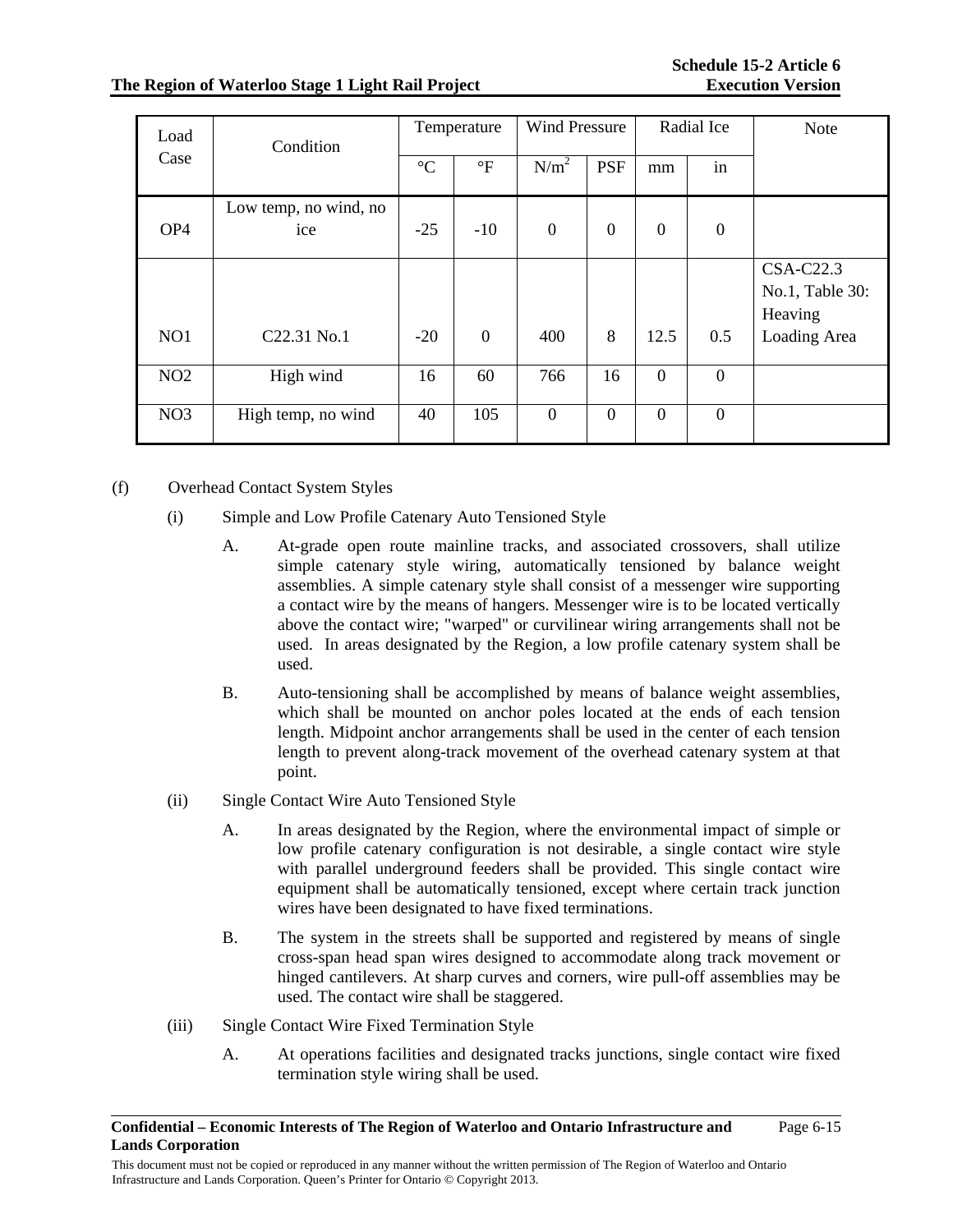# **The Region of Waterloo Stage 1 Light Rail Project**

| Load            | Condition                    | Temperature     |                | <b>Wind Pressure</b> |                | Radial Ice       |                  | <b>Note</b>                                                    |
|-----------------|------------------------------|-----------------|----------------|----------------------|----------------|------------------|------------------|----------------------------------------------------------------|
| Case            |                              | $\rm ^{\circ}C$ | $\mathrm{P}$   | N/m <sup>2</sup>     | <b>PSF</b>     | mm               | in               |                                                                |
| OP <sub>4</sub> | Low temp, no wind, no<br>ice | $-25$           | $-10$          | $\boldsymbol{0}$     | $\overline{0}$ | $\overline{0}$   | $\overline{0}$   |                                                                |
| NO1             | C22.31 No.1                  | $-20$           | $\overline{0}$ | 400                  | 8              | 12.5             | 0.5              | <b>CSA-C22.3</b><br>No.1, Table 30:<br>Heaving<br>Loading Area |
| NO <sub>2</sub> | High wind                    | 16              | 60             | 766                  | 16             | $\overline{0}$   | $\boldsymbol{0}$ |                                                                |
| NO <sub>3</sub> | High temp, no wind           | 40              | 105            | $\mathbf{0}$         | $\overline{0}$ | $\boldsymbol{0}$ | $\boldsymbol{0}$ |                                                                |

(f) Overhead Contact System Styles

- (i) Simple and Low Profile Catenary Auto Tensioned Style
	- A. At-grade open route mainline tracks, and associated crossovers, shall utilize simple catenary style wiring, automatically tensioned by balance weight assemblies. A simple catenary style shall consist of a messenger wire supporting a contact wire by the means of hangers. Messenger wire is to be located vertically above the contact wire; "warped" or curvilinear wiring arrangements shall not be used. In areas designated by the Region, a low profile catenary system shall be used.
	- B. Auto-tensioning shall be accomplished by means of balance weight assemblies, which shall be mounted on anchor poles located at the ends of each tension length. Midpoint anchor arrangements shall be used in the center of each tension length to prevent along-track movement of the overhead catenary system at that point.
- (ii) Single Contact Wire Auto Tensioned Style
	- A. In areas designated by the Region, where the environmental impact of simple or low profile catenary configuration is not desirable, a single contact wire style with parallel underground feeders shall be provided. This single contact wire equipment shall be automatically tensioned, except where certain track junction wires have been designated to have fixed terminations.
	- B. The system in the streets shall be supported and registered by means of single cross-span head span wires designed to accommodate along track movement or hinged cantilevers. At sharp curves and corners, wire pull-off assemblies may be used. The contact wire shall be staggered.
- (iii) Single Contact Wire Fixed Termination Style
	- A. At operations facilities and designated tracks junctions, single contact wire fixed termination style wiring shall be used.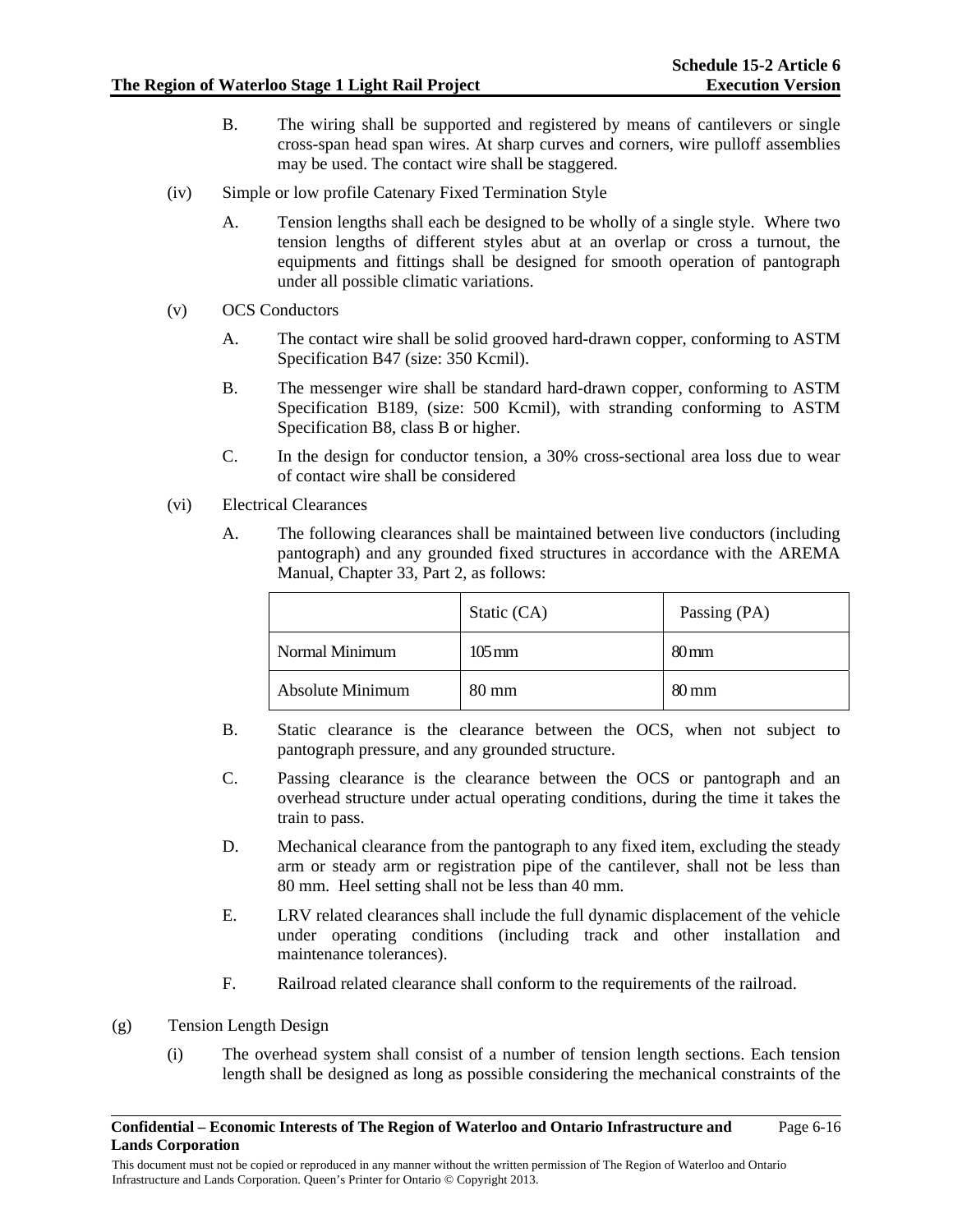- B. The wiring shall be supported and registered by means of cantilevers or single cross-span head span wires. At sharp curves and corners, wire pulloff assemblies may be used. The contact wire shall be staggered.
- (iv) Simple or low profile Catenary Fixed Termination Style
	- A. Tension lengths shall each be designed to be wholly of a single style. Where two tension lengths of different styles abut at an overlap or cross a turnout, the equipments and fittings shall be designed for smooth operation of pantograph under all possible climatic variations.
- (v) OCS Conductors
	- A. The contact wire shall be solid grooved hard-drawn copper, conforming to ASTM Specification B47 (size: 350 Kcmil).
	- B. The messenger wire shall be standard hard-drawn copper, conforming to ASTM Specification B189, (size: 500 Kcmil), with stranding conforming to ASTM Specification B8, class B or higher.
	- C. In the design for conductor tension, a 30% cross-sectional area loss due to wear of contact wire shall be considered
- (vi) Electrical Clearances
	- A. The following clearances shall be maintained between live conductors (including pantograph) and any grounded fixed structures in accordance with the AREMA Manual, Chapter 33, Part 2, as follows:

|                  | Static (CA)         | Passing (PA)       |
|------------------|---------------------|--------------------|
| Normal Minimum   | $105 \,\mathrm{mm}$ | $80 \,\mathrm{mm}$ |
| Absolute Minimum | $80 \text{ mm}$     | $80 \,\mathrm{mm}$ |

- B. Static clearance is the clearance between the OCS, when not subject to pantograph pressure, and any grounded structure.
- C. Passing clearance is the clearance between the OCS or pantograph and an overhead structure under actual operating conditions, during the time it takes the train to pass.
- D. Mechanical clearance from the pantograph to any fixed item, excluding the steady arm or steady arm or registration pipe of the cantilever, shall not be less than 80 mm. Heel setting shall not be less than 40 mm.
- E. LRV related clearances shall include the full dynamic displacement of the vehicle under operating conditions (including track and other installation and maintenance tolerances).
- F. Railroad related clearance shall conform to the requirements of the railroad.

### (g) Tension Length Design

(i) The overhead system shall consist of a number of tension length sections. Each tension length shall be designed as long as possible considering the mechanical constraints of the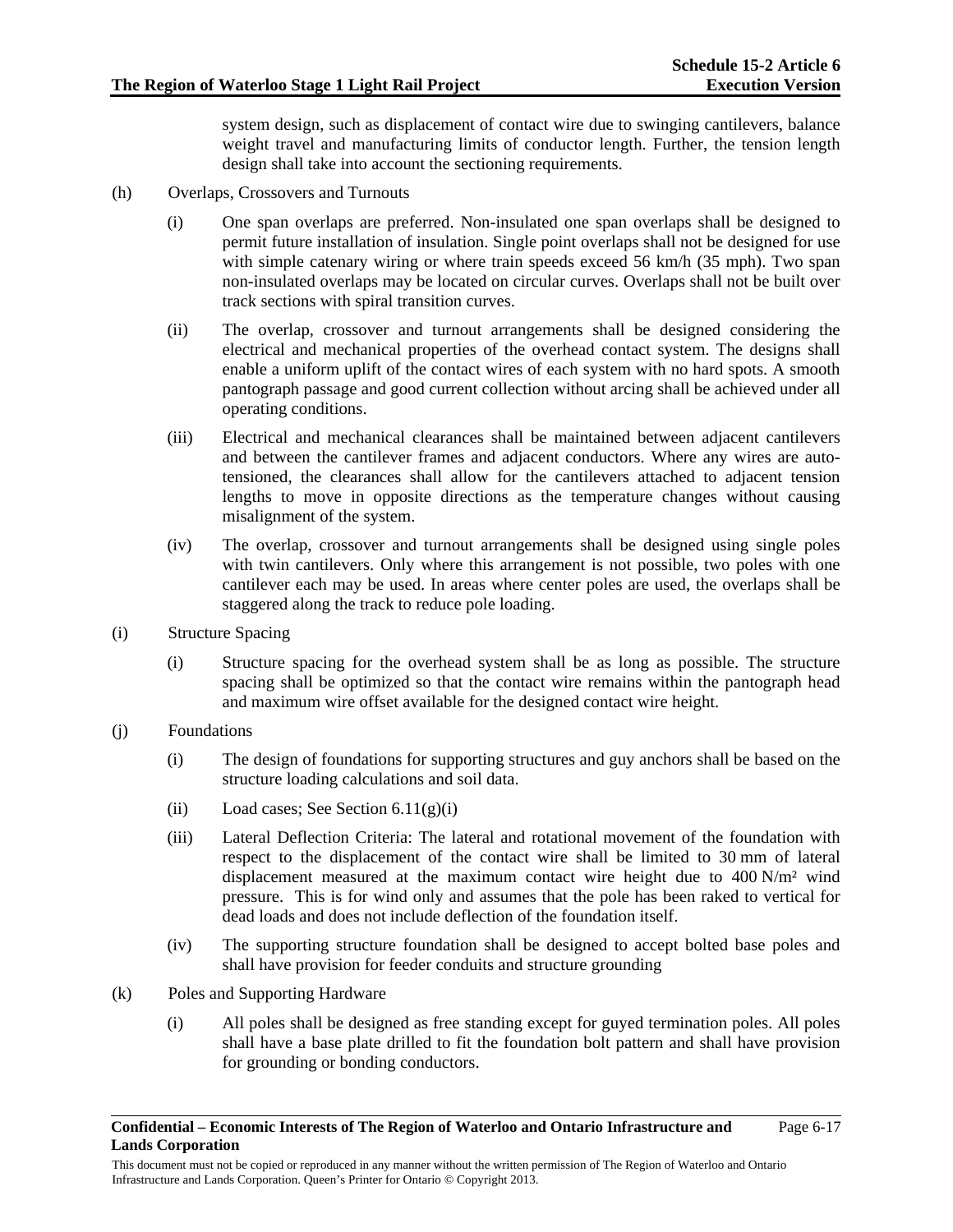system design, such as displacement of contact wire due to swinging cantilevers, balance weight travel and manufacturing limits of conductor length. Further, the tension length design shall take into account the sectioning requirements.

- (h) Overlaps, Crossovers and Turnouts
	- (i) One span overlaps are preferred. Non-insulated one span overlaps shall be designed to permit future installation of insulation. Single point overlaps shall not be designed for use with simple catenary wiring or where train speeds exceed 56 km/h (35 mph). Two span non-insulated overlaps may be located on circular curves. Overlaps shall not be built over track sections with spiral transition curves.
	- (ii) The overlap, crossover and turnout arrangements shall be designed considering the electrical and mechanical properties of the overhead contact system. The designs shall enable a uniform uplift of the contact wires of each system with no hard spots. A smooth pantograph passage and good current collection without arcing shall be achieved under all operating conditions.
	- (iii) Electrical and mechanical clearances shall be maintained between adjacent cantilevers and between the cantilever frames and adjacent conductors. Where any wires are autotensioned, the clearances shall allow for the cantilevers attached to adjacent tension lengths to move in opposite directions as the temperature changes without causing misalignment of the system.
	- (iv) The overlap, crossover and turnout arrangements shall be designed using single poles with twin cantilevers. Only where this arrangement is not possible, two poles with one cantilever each may be used. In areas where center poles are used, the overlaps shall be staggered along the track to reduce pole loading.
- (i) Structure Spacing
	- (i) Structure spacing for the overhead system shall be as long as possible. The structure spacing shall be optimized so that the contact wire remains within the pantograph head and maximum wire offset available for the designed contact wire height.
- (j) Foundations
	- (i) The design of foundations for supporting structures and guy anchors shall be based on the structure loading calculations and soil data.
	- (ii) Load cases; See Section  $6.11(g)(i)$
	- (iii) Lateral Deflection Criteria: The lateral and rotational movement of the foundation with respect to the displacement of the contact wire shall be limited to 30 mm of lateral displacement measured at the maximum contact wire height due to  $400 \text{ N/m}^2$  wind pressure. This is for wind only and assumes that the pole has been raked to vertical for dead loads and does not include deflection of the foundation itself.
	- (iv) The supporting structure foundation shall be designed to accept bolted base poles and shall have provision for feeder conduits and structure grounding
- (k) Poles and Supporting Hardware
	- (i) All poles shall be designed as free standing except for guyed termination poles. All poles shall have a base plate drilled to fit the foundation bolt pattern and shall have provision for grounding or bonding conductors.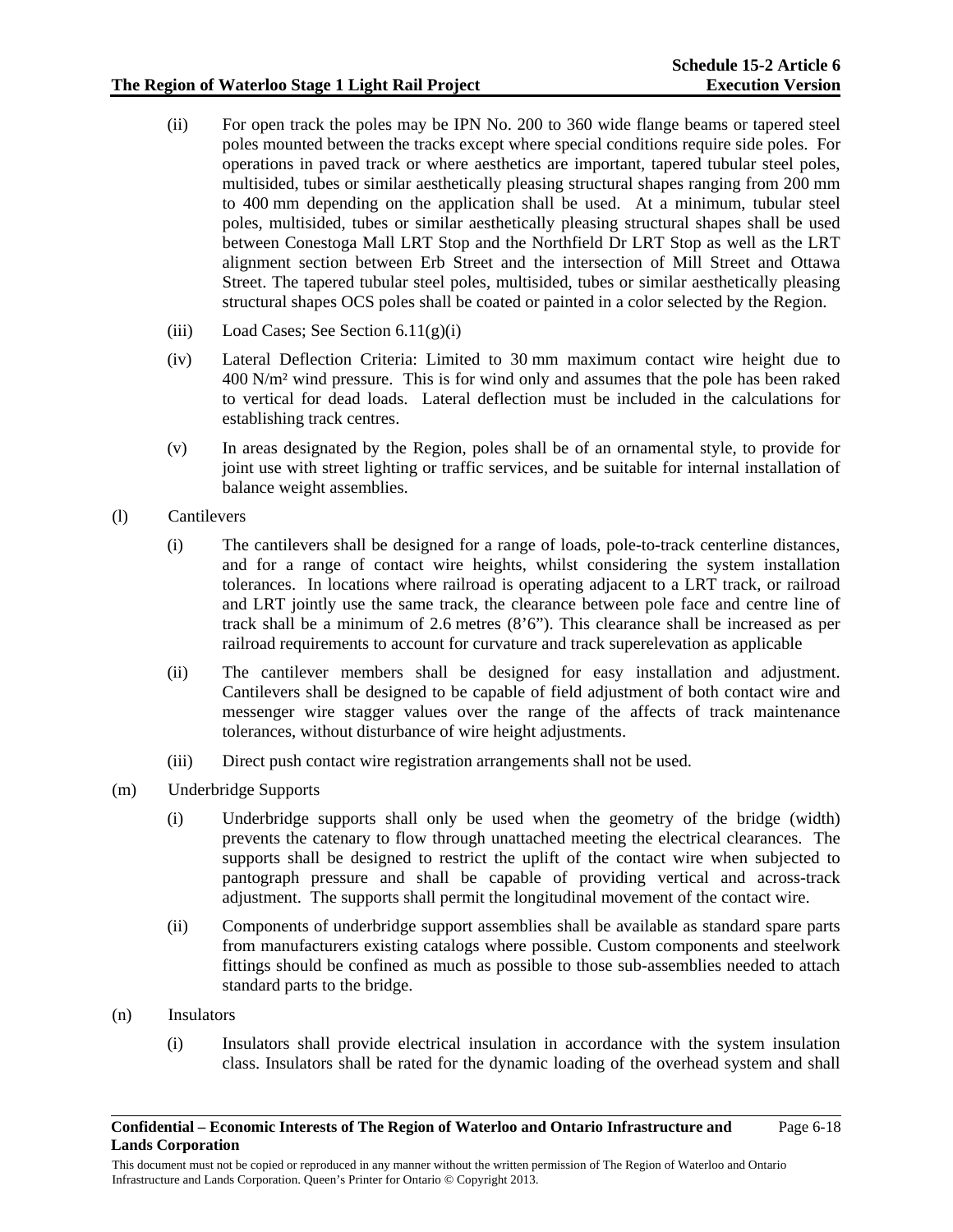- (ii) For open track the poles may be IPN No. 200 to 360 wide flange beams or tapered steel poles mounted between the tracks except where special conditions require side poles. For operations in paved track or where aesthetics are important, tapered tubular steel poles, multisided, tubes or similar aesthetically pleasing structural shapes ranging from 200 mm to 400 mm depending on the application shall be used. At a minimum, tubular steel poles, multisided, tubes or similar aesthetically pleasing structural shapes shall be used between Conestoga Mall LRT Stop and the Northfield Dr LRT Stop as well as the LRT alignment section between Erb Street and the intersection of Mill Street and Ottawa Street. The tapered tubular steel poles, multisided, tubes or similar aesthetically pleasing structural shapes OCS poles shall be coated or painted in a color selected by the Region.
- (iii) Load Cases; See Section  $6.11(g)(i)$
- (iv) Lateral Deflection Criteria: Limited to 30 mm maximum contact wire height due to 400 N/m² wind pressure. This is for wind only and assumes that the pole has been raked to vertical for dead loads. Lateral deflection must be included in the calculations for establishing track centres.
- (v) In areas designated by the Region, poles shall be of an ornamental style, to provide for joint use with street lighting or traffic services, and be suitable for internal installation of balance weight assemblies.
- (l) Cantilevers
	- (i) The cantilevers shall be designed for a range of loads, pole-to-track centerline distances, and for a range of contact wire heights, whilst considering the system installation tolerances. In locations where railroad is operating adjacent to a LRT track, or railroad and LRT jointly use the same track, the clearance between pole face and centre line of track shall be a minimum of 2.6 metres (8'6"). This clearance shall be increased as per railroad requirements to account for curvature and track superelevation as applicable
	- (ii) The cantilever members shall be designed for easy installation and adjustment. Cantilevers shall be designed to be capable of field adjustment of both contact wire and messenger wire stagger values over the range of the affects of track maintenance tolerances, without disturbance of wire height adjustments.
	- (iii) Direct push contact wire registration arrangements shall not be used.
- (m) Underbridge Supports
	- (i) Underbridge supports shall only be used when the geometry of the bridge (width) prevents the catenary to flow through unattached meeting the electrical clearances. The supports shall be designed to restrict the uplift of the contact wire when subjected to pantograph pressure and shall be capable of providing vertical and across-track adjustment. The supports shall permit the longitudinal movement of the contact wire.
	- (ii) Components of underbridge support assemblies shall be available as standard spare parts from manufacturers existing catalogs where possible. Custom components and steelwork fittings should be confined as much as possible to those sub-assemblies needed to attach standard parts to the bridge.
- (n) Insulators
	- (i) Insulators shall provide electrical insulation in accordance with the system insulation class. Insulators shall be rated for the dynamic loading of the overhead system and shall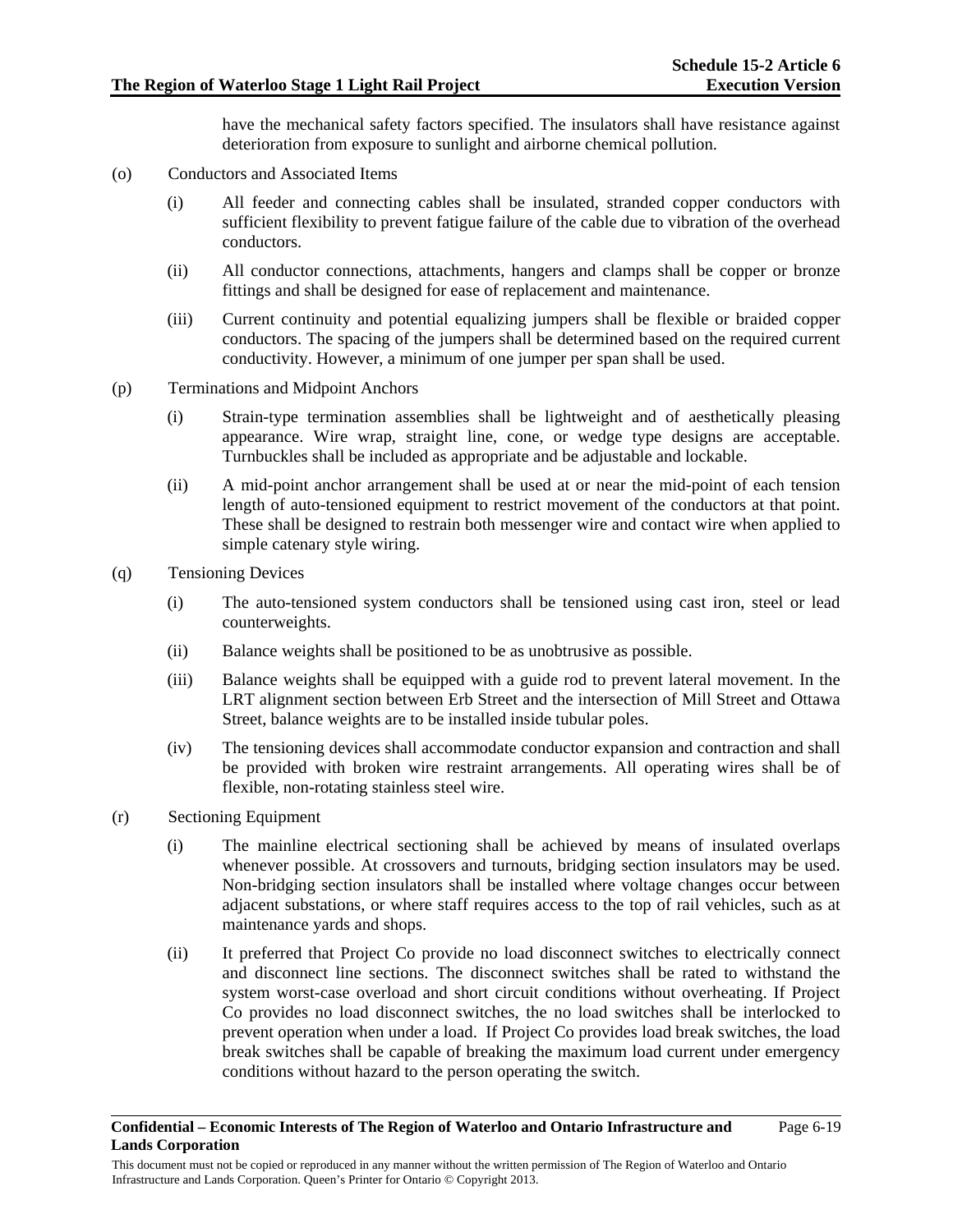have the mechanical safety factors specified. The insulators shall have resistance against deterioration from exposure to sunlight and airborne chemical pollution.

- (o) Conductors and Associated Items
	- (i) All feeder and connecting cables shall be insulated, stranded copper conductors with sufficient flexibility to prevent fatigue failure of the cable due to vibration of the overhead conductors.
	- (ii) All conductor connections, attachments, hangers and clamps shall be copper or bronze fittings and shall be designed for ease of replacement and maintenance.
	- (iii) Current continuity and potential equalizing jumpers shall be flexible or braided copper conductors. The spacing of the jumpers shall be determined based on the required current conductivity. However, a minimum of one jumper per span shall be used.
- (p) Terminations and Midpoint Anchors
	- (i) Strain-type termination assemblies shall be lightweight and of aesthetically pleasing appearance. Wire wrap, straight line, cone, or wedge type designs are acceptable. Turnbuckles shall be included as appropriate and be adjustable and lockable.
	- (ii) A mid-point anchor arrangement shall be used at or near the mid-point of each tension length of auto-tensioned equipment to restrict movement of the conductors at that point. These shall be designed to restrain both messenger wire and contact wire when applied to simple catenary style wiring.
- (q) Tensioning Devices
	- (i) The auto-tensioned system conductors shall be tensioned using cast iron, steel or lead counterweights.
	- (ii) Balance weights shall be positioned to be as unobtrusive as possible.
	- (iii) Balance weights shall be equipped with a guide rod to prevent lateral movement. In the LRT alignment section between Erb Street and the intersection of Mill Street and Ottawa Street, balance weights are to be installed inside tubular poles.
	- (iv) The tensioning devices shall accommodate conductor expansion and contraction and shall be provided with broken wire restraint arrangements. All operating wires shall be of flexible, non-rotating stainless steel wire.
- (r) Sectioning Equipment
	- (i) The mainline electrical sectioning shall be achieved by means of insulated overlaps whenever possible. At crossovers and turnouts, bridging section insulators may be used. Non-bridging section insulators shall be installed where voltage changes occur between adjacent substations, or where staff requires access to the top of rail vehicles, such as at maintenance yards and shops.
	- (ii) It preferred that Project Co provide no load disconnect switches to electrically connect and disconnect line sections. The disconnect switches shall be rated to withstand the system worst-case overload and short circuit conditions without overheating. If Project Co provides no load disconnect switches, the no load switches shall be interlocked to prevent operation when under a load. If Project Co provides load break switches, the load break switches shall be capable of breaking the maximum load current under emergency conditions without hazard to the person operating the switch.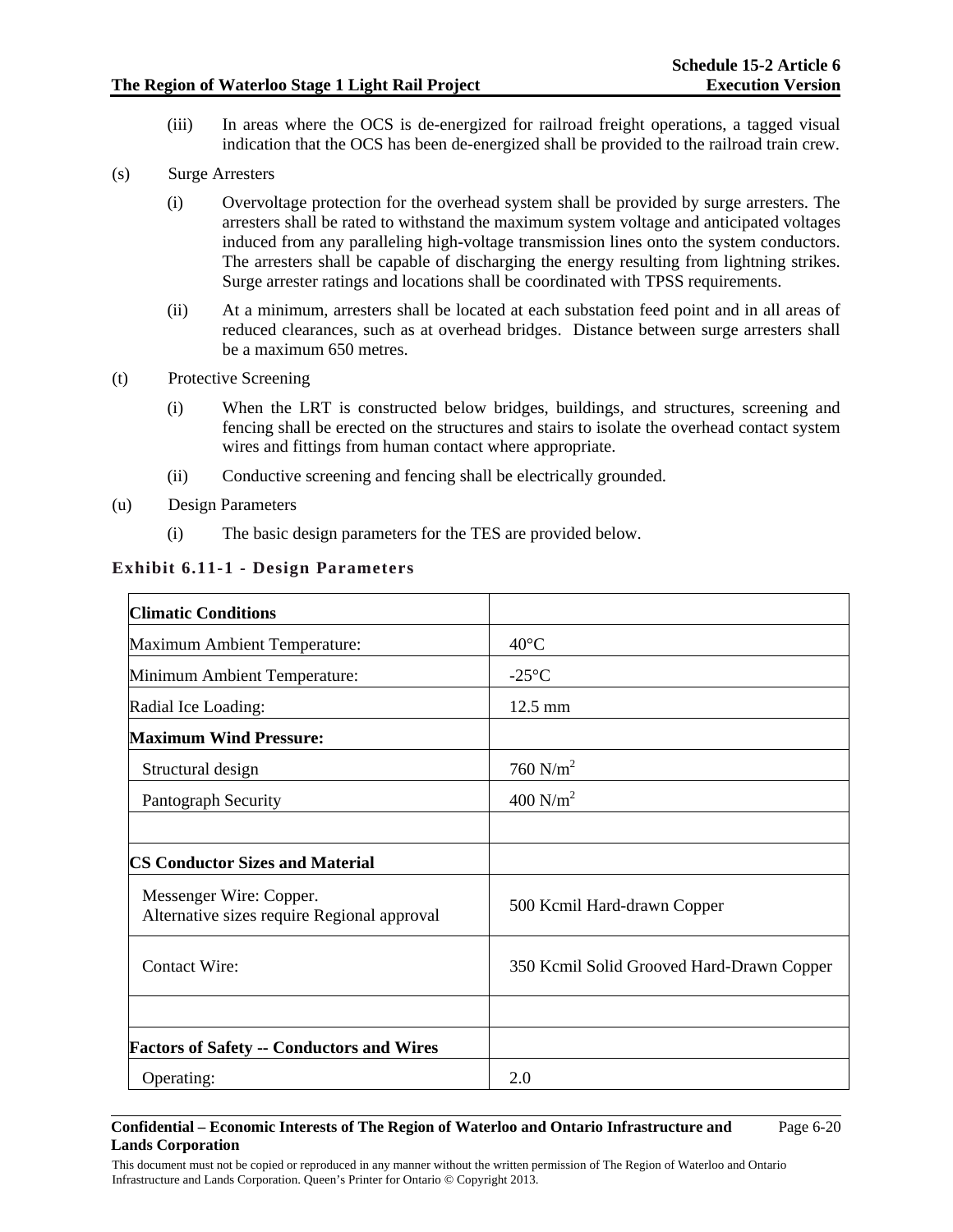(iii) In areas where the OCS is de-energized for railroad freight operations, a tagged visual indication that the OCS has been de-energized shall be provided to the railroad train crew.

## (s) Surge Arresters

- (i) Overvoltage protection for the overhead system shall be provided by surge arresters. The arresters shall be rated to withstand the maximum system voltage and anticipated voltages induced from any paralleling high-voltage transmission lines onto the system conductors. The arresters shall be capable of discharging the energy resulting from lightning strikes. Surge arrester ratings and locations shall be coordinated with TPSS requirements.
- (ii) At a minimum, arresters shall be located at each substation feed point and in all areas of reduced clearances, such as at overhead bridges. Distance between surge arresters shall be a maximum 650 metres.
- (t) Protective Screening
	- (i) When the LRT is constructed below bridges, buildings, and structures, screening and fencing shall be erected on the structures and stairs to isolate the overhead contact system wires and fittings from human contact where appropriate.
	- (ii) Conductive screening and fencing shall be electrically grounded.
- (u) Design Parameters
	- (i) The basic design parameters for the TES are provided below.

| <b>Climatic Conditions</b>                                             |                                           |
|------------------------------------------------------------------------|-------------------------------------------|
| <b>Maximum Ambient Temperature:</b>                                    | $40^{\circ}$ C                            |
| Minimum Ambient Temperature:                                           | $-25^{\circ}$ C                           |
| Radial Ice Loading:                                                    | 12.5 mm                                   |
| <b>Maximum Wind Pressure:</b>                                          |                                           |
| Structural design                                                      | 760 $N/m^2$                               |
| Pantograph Security                                                    | 400 $N/m^2$                               |
|                                                                        |                                           |
| <b>CS Conductor Sizes and Material</b>                                 |                                           |
| Messenger Wire: Copper.<br>Alternative sizes require Regional approval | 500 Kcmil Hard-drawn Copper               |
| <b>Contact Wire:</b>                                                   | 350 Kcmil Solid Grooved Hard-Drawn Copper |
|                                                                        |                                           |
| <b>Factors of Safety -- Conductors and Wires</b>                       |                                           |
| Operating:                                                             | 2.0                                       |

# **Exhibit 6.11-1 - Design Parameters**

#### **Confidential – Economic Interests of The Region of Waterloo and Ontario Infrastructure and Lands Corporation**  Page 6-20

This document must not be copied or reproduced in any manner without the written permission of The Region of Waterloo and Ontario Infrastructure and Lands Corporation. Queen's Printer for Ontario © Copyright 2013.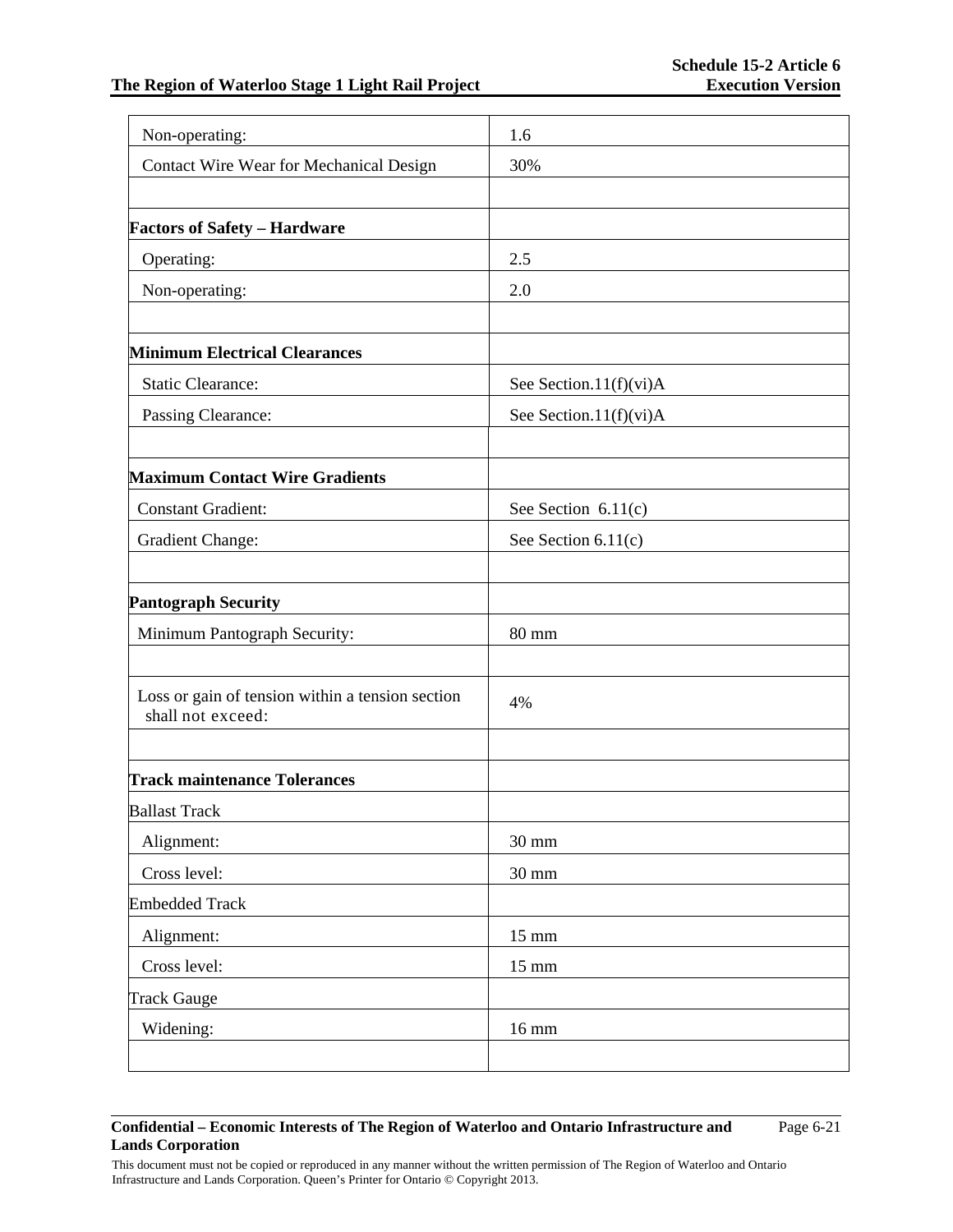| Non-operating:                                                        | 1.6                        |
|-----------------------------------------------------------------------|----------------------------|
| Contact Wire Wear for Mechanical Design                               | 30%                        |
|                                                                       |                            |
| <b>Factors of Safety - Hardware</b>                                   |                            |
| Operating:                                                            | 2.5                        |
| Non-operating:                                                        | 2.0                        |
|                                                                       |                            |
| <b>Minimum Electrical Clearances</b>                                  |                            |
| <b>Static Clearance:</b>                                              | See Section.11(f)(vi)A     |
| Passing Clearance:                                                    | See Section.11( $f$ )(vi)A |
| <b>Maximum Contact Wire Gradients</b>                                 |                            |
| <b>Constant Gradient:</b>                                             | See Section $6.11(c)$      |
| <b>Gradient Change:</b>                                               | See Section $6.11(c)$      |
| <b>Pantograph Security</b>                                            |                            |
| Minimum Pantograph Security:                                          | 80 mm                      |
|                                                                       |                            |
| Loss or gain of tension within a tension section<br>shall not exceed: | 4%                         |
|                                                                       |                            |
| <b>Track maintenance Tolerances</b>                                   |                            |
| <b>Ballast Track</b>                                                  |                            |
| Alignment:                                                            | $30 \text{ mm}$            |
| Cross level:                                                          | 30 mm                      |
| <b>Embedded Track</b>                                                 |                            |
| Alignment:                                                            | $15 \text{ mm}$            |
| Cross level:                                                          | $15 \text{ mm}$            |
| <b>Track Gauge</b>                                                    |                            |
| Widening:                                                             | 16 mm                      |
|                                                                       |                            |

#### **Confidential – Economic Interests of The Region of Waterloo and Ontario Infrastructure and Lands Corporation**  Page 6-21

This document must not be copied or reproduced in any manner without the written permission of The Region of Waterloo and Ontario Infrastructure and Lands Corporation. Queen's Printer for Ontario © Copyright 2013.